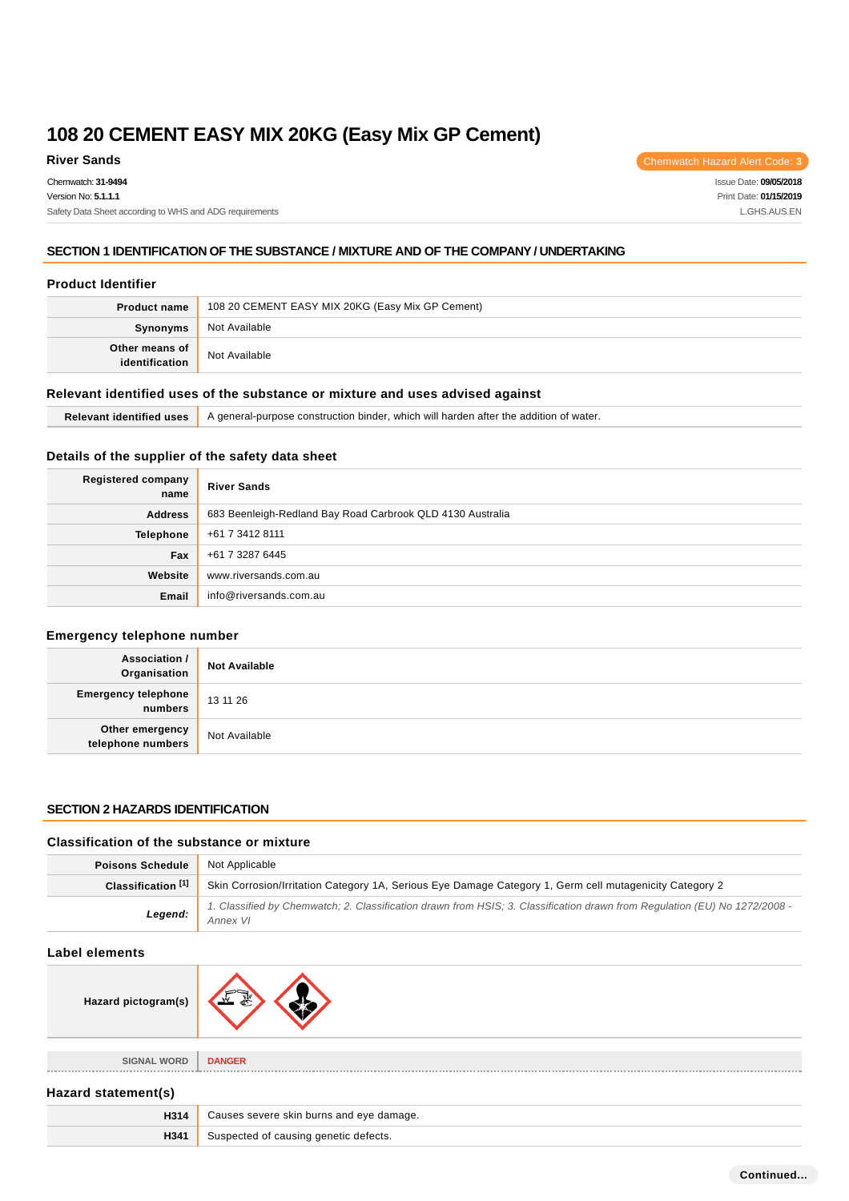Chemwatch: **31-9494** Version No: **5.1.1.1** Safety Data Sheet according to WHS and ADG requirements

**River Sands** Chemwatch Hazard Alert Code: 3

Issue Date: **09/05/2018** Print Date: **01/15/2019** L.GHS.AUS.EN

#### **SECTION 1 IDENTIFICATION OF THE SUBSTANCE / MIXTURE AND OF THE COMPANY / UNDERTAKING**

#### **Product Identifier**

| <b>Product name</b>              | 108 20 CEMENT EASY MIX 20KG (Easy Mix GP Cement) |  |
|----------------------------------|--------------------------------------------------|--|
| Synonyms                         | Not Available                                    |  |
| Other means of<br>identification | Not Available                                    |  |

#### **Relevant identified uses of the substance or mixture and uses advised against**

#### **Details of the supplier of the safety data sheet**

| <b>Registered company</b><br>name | <b>River Sands</b>                                         |  |
|-----------------------------------|------------------------------------------------------------|--|
| <b>Address</b>                    | 683 Beenleigh-Redland Bay Road Carbrook QLD 4130 Australia |  |
| <b>Telephone</b>                  | +61 7 3412 8111                                            |  |
| Fax                               | +61 7 3287 6445                                            |  |
| Website                           | www.riversands.com.au                                      |  |
| Email                             | info@riversands.com.au                                     |  |

#### **Emergency telephone number**

| Association /<br>Organisation                | <b>Not Available</b> |  |
|----------------------------------------------|----------------------|--|
| <b>Emergency telephone</b><br>numbers        | 13 11 26             |  |
| <b>Other emergency<br/>telephone numbers</b> | Not Available        |  |

#### **SECTION 2 HAZARDS IDENTIFICATION**

## **Classification of the substance or mixture**

| Poisons Schedule              | Not Applicable                                                                                                                         |  |
|-------------------------------|----------------------------------------------------------------------------------------------------------------------------------------|--|
| Classification <sup>[1]</sup> | Skin Corrosion/Irritation Category 1A, Serious Eye Damage Category 1, Germ cell mutagenicity Category 2                                |  |
| Legend:                       | 1. Classified by Chemwatch; 2. Classification drawn from HSIS; 3. Classification drawn from Regulation (EU) No 1272/2008 -<br>Annex VI |  |

#### **Label elements**

| Hazard pictogram(s) |  |
|---------------------|--|
|                     |  |

**SIGNAL WORD DANGER**

#### **Hazard statement(s)**

| H314 | . severe skin burns and eye damage. . |  |
|------|---------------------------------------|--|
| H341 | f causing genetic defects.<br>- 110   |  |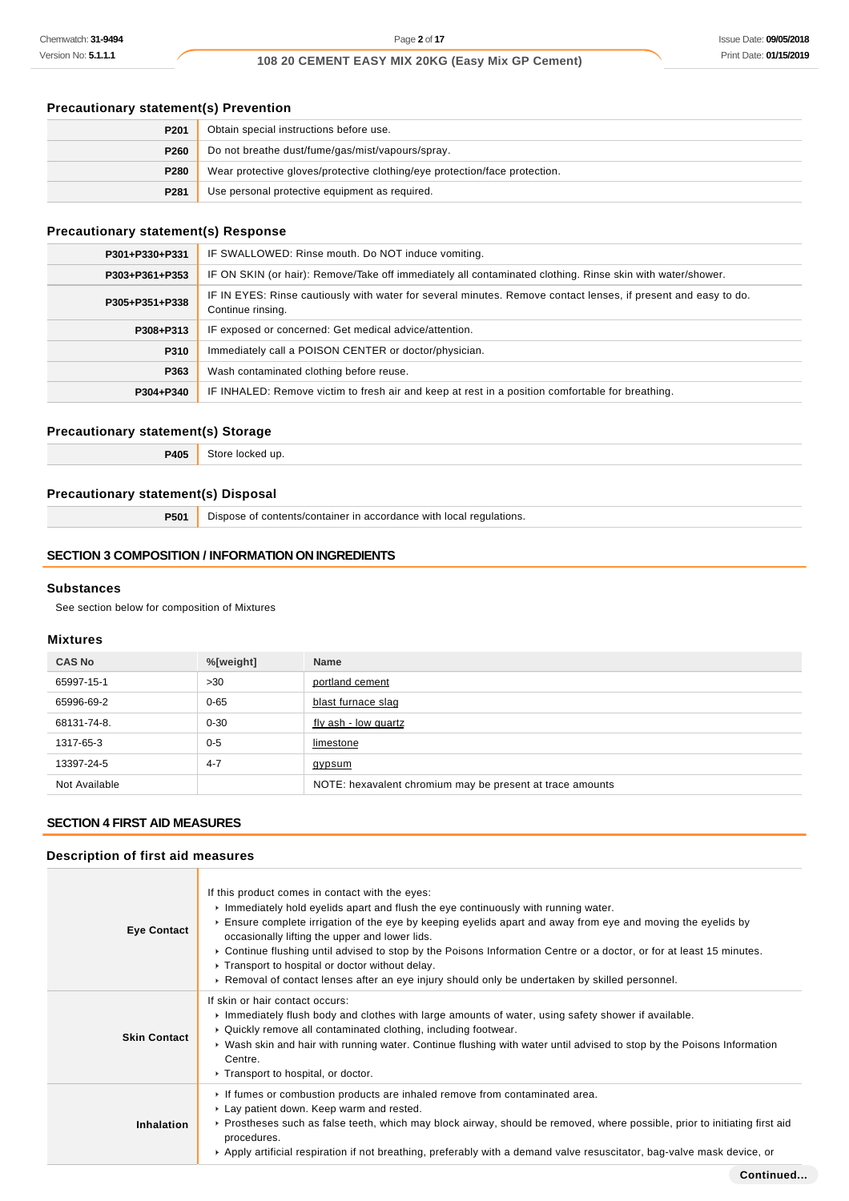## **Precautionary statement(s) Prevention**

| P <sub>201</sub>                                       | Obtain special instructions before use.                                    |  |
|--------------------------------------------------------|----------------------------------------------------------------------------|--|
| P260                                                   | Do not breathe dust/fume/gas/mist/vapours/spray.                           |  |
| P280                                                   | Wear protective gloves/protective clothing/eye protection/face protection. |  |
| Use personal protective equipment as required.<br>P281 |                                                                            |  |

## **Precautionary statement(s) Response**

| P301+P330+P331 | IF SWALLOWED: Rinse mouth. Do NOT induce vomiting.                                                                                  |  |  |
|----------------|-------------------------------------------------------------------------------------------------------------------------------------|--|--|
| P303+P361+P353 | IF ON SKIN (or hair): Remove/Take off immediately all contaminated clothing. Rinse skin with water/shower.                          |  |  |
| P305+P351+P338 | IF IN EYES: Rinse cautiously with water for several minutes. Remove contact lenses, if present and easy to do.<br>Continue rinsing. |  |  |
| P308+P313      | IF exposed or concerned: Get medical advice/attention.                                                                              |  |  |
| P310           | Immediately call a POISON CENTER or doctor/physician.                                                                               |  |  |
| P363           | Wash contaminated clothing before reuse.                                                                                            |  |  |
| P304+P340      | IF INHALED: Remove victim to fresh air and keep at rest in a position comfortable for breathing.                                    |  |  |

## **Precautionary statement(s) Storage**

| $9405 -$ | Store locked<br>₹ up. |
|----------|-----------------------|
|----------|-----------------------|

## **Precautionary statement(s) Disposal**

**P501** Dispose of contents/container in accordance with local regulations.

#### **SECTION 3 COMPOSITION / INFORMATION ON INGREDIENTS**

#### **Substances**

See section below for composition of Mixtures

#### **Mixtures**

| <b>CAS No</b> | %[weight] | <b>Name</b>                                               |
|---------------|-----------|-----------------------------------------------------------|
| 65997-15-1    | >30       | portland cement                                           |
| 65996-69-2    | $0 - 65$  | blast furnace slag                                        |
| 68131-74-8.   | $0 - 30$  | fly ash - low quartz                                      |
| 1317-65-3     | $0 - 5$   | limestone                                                 |
| 13397-24-5    | $4 - 7$   | gypsum                                                    |
| Not Available |           | NOTE: hexavalent chromium may be present at trace amounts |

## **SECTION 4 FIRST AID MEASURES**

#### **Description of first aid measures**

| <b>Eye Contact</b>  | If this product comes in contact with the eyes:<br>Immediately hold eyelids apart and flush the eye continuously with running water.<br>Ensure complete irrigation of the eye by keeping eyelids apart and away from eye and moving the eyelids by<br>occasionally lifting the upper and lower lids.<br>▶ Continue flushing until advised to stop by the Poisons Information Centre or a doctor, or for at least 15 minutes.<br>Transport to hospital or doctor without delay.<br>► Removal of contact lenses after an eye injury should only be undertaken by skilled personnel. |  |
|---------------------|-----------------------------------------------------------------------------------------------------------------------------------------------------------------------------------------------------------------------------------------------------------------------------------------------------------------------------------------------------------------------------------------------------------------------------------------------------------------------------------------------------------------------------------------------------------------------------------|--|
| <b>Skin Contact</b> | If skin or hair contact occurs:<br>Immediately flush body and clothes with large amounts of water, using safety shower if available.<br>▶ Quickly remove all contaminated clothing, including footwear.<br>▶ Wash skin and hair with running water. Continue flushing with water until advised to stop by the Poisons Information<br>Centre.<br>Transport to hospital, or doctor.                                                                                                                                                                                                 |  |
| Inhalation          | If fumes or combustion products are inhaled remove from contaminated area.<br>Lay patient down. Keep warm and rested.<br>▶ Prostheses such as false teeth, which may block airway, should be removed, where possible, prior to initiating first aid<br>procedures.<br>▶ Apply artificial respiration if not breathing, preferably with a demand valve resuscitator, bag-valve mask device, or                                                                                                                                                                                     |  |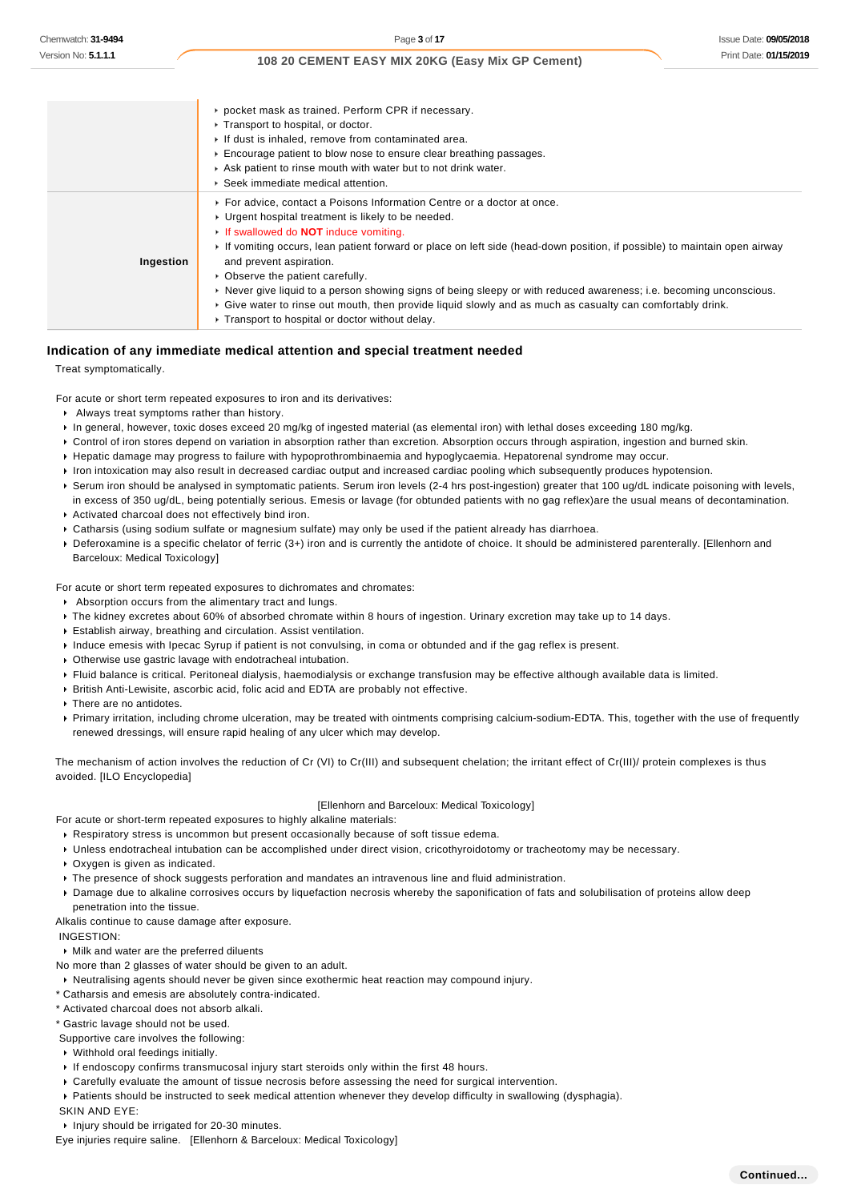|           | pocket mask as trained. Perform CPR if necessary.<br>Transport to hospital, or doctor.<br>If dust is inhaled, remove from contaminated area.<br>Encourage patient to blow nose to ensure clear breathing passages.<br>Ask patient to rinse mouth with water but to not drink water.<br>$\triangleright$ Seek immediate medical attention.                                                                                                                                                                                                                                                                                                                         |
|-----------|-------------------------------------------------------------------------------------------------------------------------------------------------------------------------------------------------------------------------------------------------------------------------------------------------------------------------------------------------------------------------------------------------------------------------------------------------------------------------------------------------------------------------------------------------------------------------------------------------------------------------------------------------------------------|
| Ingestion | ► For advice, contact a Poisons Information Centre or a doctor at once.<br>• Urgent hospital treatment is likely to be needed.<br>If swallowed do <b>NOT</b> induce vomiting.<br>If vomiting occurs, lean patient forward or place on left side (head-down position, if possible) to maintain open airway<br>and prevent aspiration.<br>• Observe the patient carefully.<br>▶ Never give liquid to a person showing signs of being sleepy or with reduced awareness; i.e. becoming unconscious.<br>► Give water to rinse out mouth, then provide liquid slowly and as much as casualty can comfortably drink.<br>▶ Transport to hospital or doctor without delay. |

## **Indication of any immediate medical attention and special treatment needed**

Treat symptomatically.

For acute or short term repeated exposures to iron and its derivatives:

- Always treat symptoms rather than history.
- In general, however, toxic doses exceed 20 mg/kg of ingested material (as elemental iron) with lethal doses exceeding 180 mg/kg.
- Control of iron stores depend on variation in absorption rather than excretion. Absorption occurs through aspiration, ingestion and burned skin.
- Hepatic damage may progress to failure with hypoprothrombinaemia and hypoglycaemia. Hepatorenal syndrome may occur.
- Iron intoxication may also result in decreased cardiac output and increased cardiac pooling which subsequently produces hypotension.
- Serum iron should be analysed in symptomatic patients. Serum iron levels (2-4 hrs post-ingestion) greater that 100 ug/dL indicate poisoning with levels, in excess of 350 ug/dL, being potentially serious. Emesis or lavage (for obtunded patients with no gag reflex)are the usual means of decontamination.
- Activated charcoal does not effectively bind iron.
- Catharsis (using sodium sulfate or magnesium sulfate) may only be used if the patient already has diarrhoea.
- ▶ Deferoxamine is a specific chelator of ferric (3+) iron and is currently the antidote of choice. It should be administered parenterally. [Ellenhorn and Barceloux: Medical Toxicology]

For acute or short term repeated exposures to dichromates and chromates:

- Absorption occurs from the alimentary tract and lungs.
- The kidney excretes about 60% of absorbed chromate within 8 hours of ingestion. Urinary excretion may take up to 14 days.
- Establish airway, breathing and circulation. Assist ventilation.
- Induce emesis with Ipecac Syrup if patient is not convulsing, in coma or obtunded and if the gag reflex is present.
- Otherwise use gastric lavage with endotracheal intubation.
- Fluid balance is critical. Peritoneal dialysis, haemodialysis or exchange transfusion may be effective although available data is limited.
- British Anti-Lewisite, ascorbic acid, folic acid and EDTA are probably not effective.
- **There are no antidotes.**
- Primary irritation, including chrome ulceration, may be treated with ointments comprising calcium-sodium-EDTA. This, together with the use of frequently renewed dressings, will ensure rapid healing of any ulcer which may develop.

The mechanism of action involves the reduction of Cr (VI) to Cr(III) and subsequent chelation; the irritant effect of Cr(III)/ protein complexes is thus avoided. [ILO Encyclopedia]

#### [Ellenhorn and Barceloux: Medical Toxicology]

For acute or short-term repeated exposures to highly alkaline materials:

- Respiratory stress is uncommon but present occasionally because of soft tissue edema.
- Unless endotracheal intubation can be accomplished under direct vision, cricothyroidotomy or tracheotomy may be necessary.
- Oxygen is given as indicated.
- The presence of shock suggests perforation and mandates an intravenous line and fluid administration.
- ▶ Damage due to alkaline corrosives occurs by liquefaction necrosis whereby the saponification of fats and solubilisation of proteins allow deep

penetration into the tissue.

Alkalis continue to cause damage after exposure.

#### INGESTION:

SKIN AND EYE:

Milk and water are the preferred diluents

- No more than 2 glasses of water should be given to an adult.
- Neutralising agents should never be given since exothermic heat reaction may compound injury.
- \* Catharsis and emesis are absolutely contra-indicated.
- \* Activated charcoal does not absorb alkali.

\* Gastric lavage should not be used.

Supportive care involves the following:

- Withhold oral feedings initially.
- If endoscopy confirms transmucosal injury start steroids only within the first 48 hours.
- Carefully evaluate the amount of tissue necrosis before assessing the need for surgical intervention.
- Patients should be instructed to seek medical attention whenever they develop difficulty in swallowing (dysphagia).

Injury should be irrigated for 20-30 minutes.

Eye injuries require saline. [Ellenhorn & Barceloux: Medical Toxicology]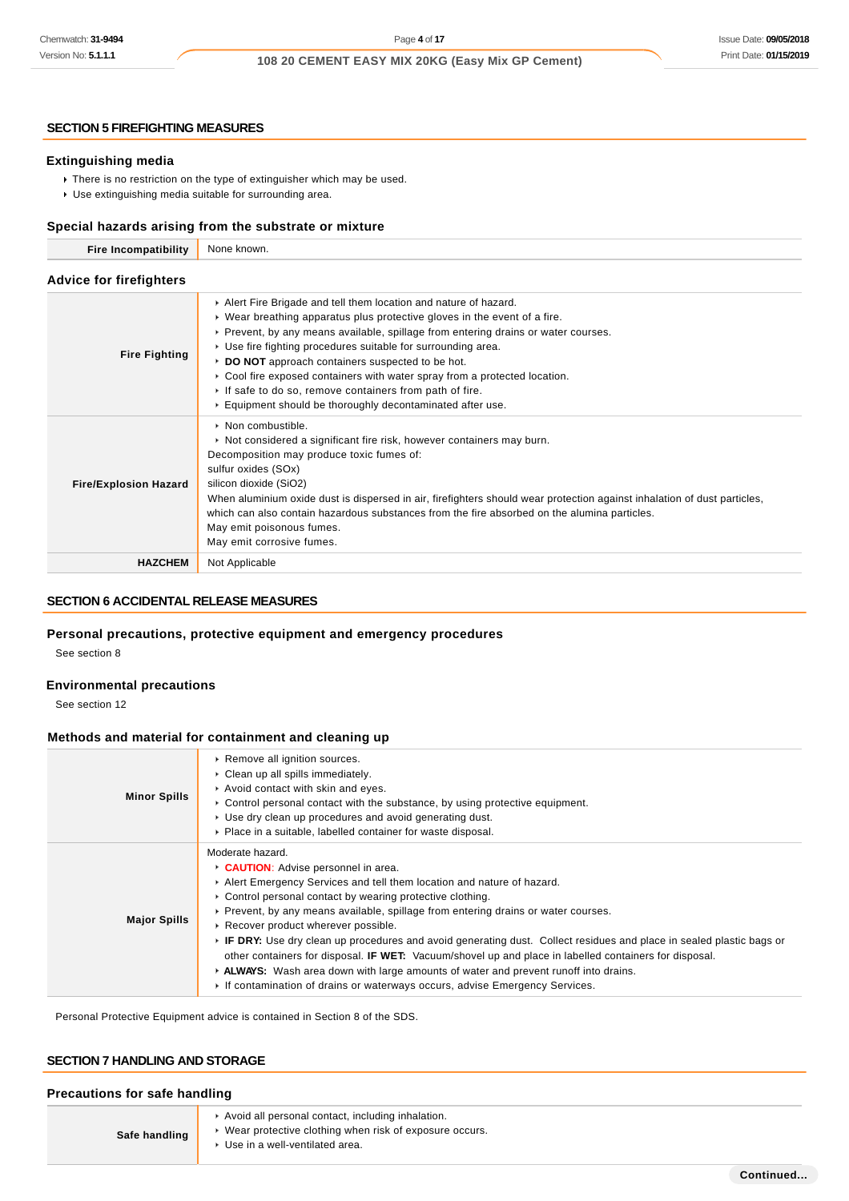#### **SECTION 5 FIREFIGHTING MEASURES**

#### **Extinguishing media**

- There is no restriction on the type of extinguisher which may be used.
- Use extinguishing media suitable for surrounding area.

#### **Special hazards arising from the substrate or mixture**

| <b>Fire Incompatibility</b>    | None known.                                                                                                                                                                                                                                                                                                                                                                                                                                                                                                                                                               |
|--------------------------------|---------------------------------------------------------------------------------------------------------------------------------------------------------------------------------------------------------------------------------------------------------------------------------------------------------------------------------------------------------------------------------------------------------------------------------------------------------------------------------------------------------------------------------------------------------------------------|
| <b>Advice for firefighters</b> |                                                                                                                                                                                                                                                                                                                                                                                                                                                                                                                                                                           |
| <b>Fire Fighting</b>           | Alert Fire Brigade and tell them location and nature of hazard.<br>$\triangleright$ Wear breathing apparatus plus protective gloves in the event of a fire.<br>► Prevent, by any means available, spillage from entering drains or water courses.<br>► Use fire fighting procedures suitable for surrounding area.<br>DO NOT approach containers suspected to be hot.<br>► Cool fire exposed containers with water spray from a protected location.<br>If safe to do so, remove containers from path of fire.<br>Equipment should be thoroughly decontaminated after use. |
| <b>Fire/Explosion Hazard</b>   | $\triangleright$ Non combustible.<br>► Not considered a significant fire risk, however containers may burn.<br>Decomposition may produce toxic fumes of:<br>sulfur oxides (SOx)<br>silicon dioxide (SiO2)<br>When aluminium oxide dust is dispersed in air, firefighters should wear protection against inhalation of dust particles,<br>which can also contain hazardous substances from the fire absorbed on the alumina particles.<br>May emit poisonous fumes.<br>May emit corrosive fumes.                                                                           |
| <b>HAZCHEM</b>                 | Not Applicable                                                                                                                                                                                                                                                                                                                                                                                                                                                                                                                                                            |

## **SECTION 6 ACCIDENTAL RELEASE MEASURES**

## **Personal precautions, protective equipment and emergency procedures**

See section 8

#### **Environmental precautions**

See section 12

#### **Methods and material for containment and cleaning up**

| <b>Minor Spills</b> | ▶ Remove all ignition sources.<br>$\triangleright$ Clean up all spills immediately.<br>Avoid contact with skin and eyes.<br>$\triangleright$ Control personal contact with the substance, by using protective equipment.<br>► Use dry clean up procedures and avoid generating dust.<br>• Place in a suitable, labelled container for waste disposal.                                                                                                                                                                                                                                                                                                                                                                                              |
|---------------------|----------------------------------------------------------------------------------------------------------------------------------------------------------------------------------------------------------------------------------------------------------------------------------------------------------------------------------------------------------------------------------------------------------------------------------------------------------------------------------------------------------------------------------------------------------------------------------------------------------------------------------------------------------------------------------------------------------------------------------------------------|
| <b>Major Spills</b> | Moderate hazard.<br><b>CAUTION:</b> Advise personnel in area.<br>Alert Emergency Services and tell them location and nature of hazard.<br>• Control personal contact by wearing protective clothing.<br>► Prevent, by any means available, spillage from entering drains or water courses.<br>▶ Recover product wherever possible.<br>► IF DRY: Use dry clean up procedures and avoid generating dust. Collect residues and place in sealed plastic bags or<br>other containers for disposal. <b>IF WET:</b> Vacuum/shovel up and place in labelled containers for disposal.<br>► ALWAYS: Wash area down with large amounts of water and prevent runoff into drains.<br>If contamination of drains or waterways occurs, advise Emergency Services. |

Personal Protective Equipment advice is contained in Section 8 of the SDS.

## **SECTION 7 HANDLING AND STORAGE**

| <b>Precautions for safe handling</b> |                                                                                                                                                   |  |
|--------------------------------------|---------------------------------------------------------------------------------------------------------------------------------------------------|--|
| Safe handling                        | Avoid all personal contact, including inhalation.<br>▶ Wear protective clothing when risk of exposure occurs.<br>▶ Use in a well-ventilated area. |  |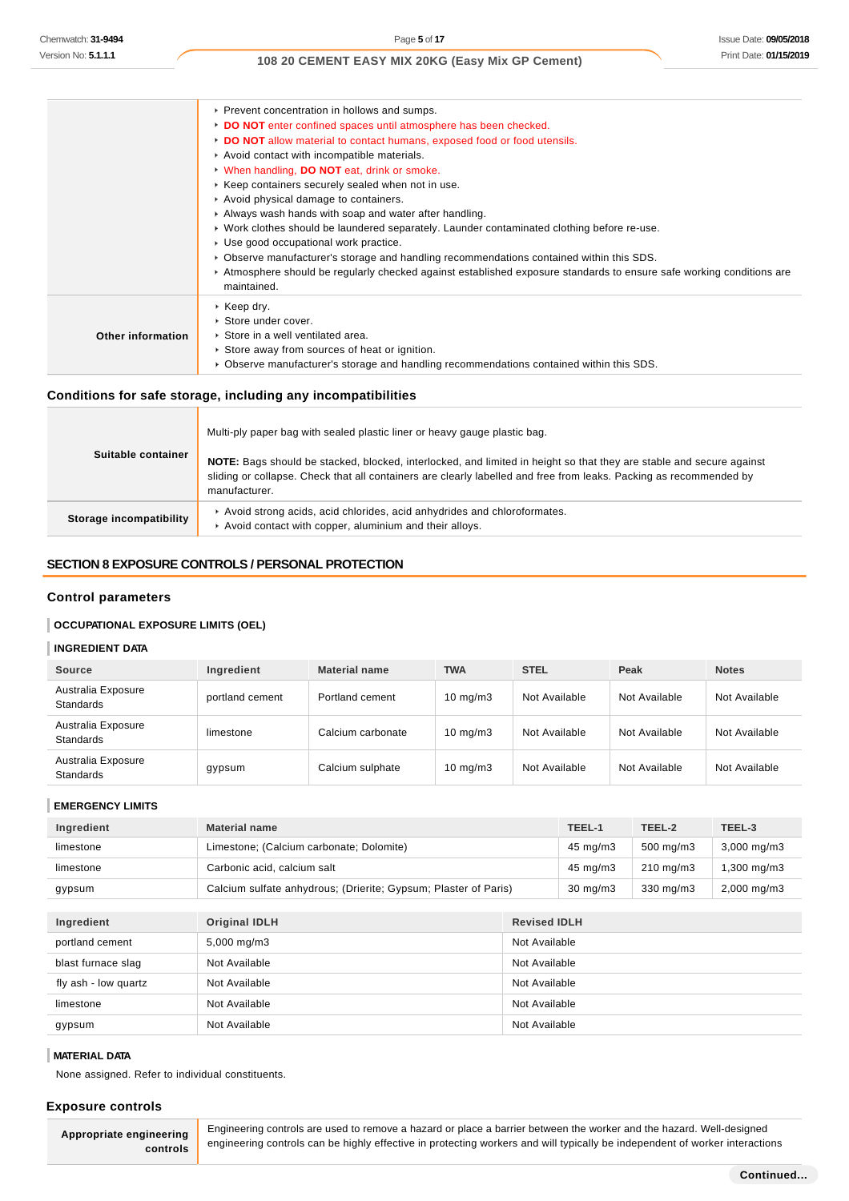|                   | ▶ Prevent concentration in hollows and sumps.                                                                         |
|-------------------|-----------------------------------------------------------------------------------------------------------------------|
|                   | DO NOT enter confined spaces until atmosphere has been checked.                                                       |
|                   | DO NOT allow material to contact humans, exposed food or food utensils.                                               |
|                   | Avoid contact with incompatible materials.                                                                            |
|                   | V When handling, DO NOT eat, drink or smoke.                                                                          |
|                   | ▶ Keep containers securely sealed when not in use.                                                                    |
|                   | Avoid physical damage to containers.                                                                                  |
|                   | Always wash hands with soap and water after handling.                                                                 |
|                   | ► Work clothes should be laundered separately. Launder contaminated clothing before re-use.                           |
|                   | ▶ Use good occupational work practice.                                                                                |
|                   | ► Observe manufacturer's storage and handling recommendations contained within this SDS.                              |
|                   | ► Atmosphere should be regularly checked against established exposure standards to ensure safe working conditions are |
|                   | maintained.                                                                                                           |
|                   | $\cdot$ Keep dry.                                                                                                     |
|                   | $\triangleright$ Store under cover.                                                                                   |
| Other information | ▶ Store in a well ventilated area.                                                                                    |
|                   | ▶ Store away from sources of heat or ignition.                                                                        |
|                   | ► Observe manufacturer's storage and handling recommendations contained within this SDS.                              |

## **Conditions for safe storage, including any incompatibilities**

| Suitable container      | Multi-ply paper bag with sealed plastic liner or heavy gauge plastic bag.<br>NOTE: Bags should be stacked, blocked, interlocked, and limited in height so that they are stable and secure against |  |  |
|-------------------------|---------------------------------------------------------------------------------------------------------------------------------------------------------------------------------------------------|--|--|
|                         | sliding or collapse. Check that all containers are clearly labelled and free from leaks. Packing as recommended by<br>manufacturer.                                                               |  |  |
| Storage incompatibility | Avoid strong acids, acid chlorides, acid anhydrides and chloroformates.<br>Avoid contact with copper, aluminium and their alloys.                                                                 |  |  |

## **SECTION 8 EXPOSURE CONTROLS / PERSONAL PROTECTION**

#### **Control parameters**

## **OCCUPATIONAL EXPOSURE LIMITS (OEL)**

## **INGREDIENT DATA**

| Source                                 | Ingredient      | <b>Material name</b> | <b>TWA</b>          | <b>STEL</b>   | Peak          | <b>Notes</b>  |
|----------------------------------------|-----------------|----------------------|---------------------|---------------|---------------|---------------|
| Australia Exposure<br><b>Standards</b> | portland cement | Portland cement      | $10 \text{ mg/m}$ 3 | Not Available | Not Available | Not Available |
| Australia Exposure<br><b>Standards</b> | limestone       | Calcium carbonate    | $10 \text{ mg/m}$   | Not Available | Not Available | Not Available |
| Australia Exposure<br><b>Standards</b> | gypsum          | Calcium sulphate     | $10 \text{ mg/m}$ 3 | Not Available | Not Available | Not Available |

## **EMERGENCY LIMITS**

| Ingredient         | <b>Material name</b>                                            |                     | TEEL-1             | TEEL-2                  | TEEL-3                  |
|--------------------|-----------------------------------------------------------------|---------------------|--------------------|-------------------------|-------------------------|
| limestone          | Limestone; (Calcium carbonate; Dolomite)                        |                     | 45 mg/m3           | $500 \text{ mg/m}$ 3    | $3,000 \,\mathrm{mg/m}$ |
| limestone          | Carbonic acid, calcium salt                                     | $45 \text{ mg/m}$ 3 | $210 \text{ mg/m}$ | 1,300 mg/m3             |                         |
| gypsum             | Calcium sulfate anhydrous; (Drierite; Gypsum; Plaster of Paris) | $30 \text{ mg/m}$   | $330 \text{ mg/m}$ | $2,000 \,\mathrm{mg/m}$ |                         |
|                    |                                                                 |                     |                    |                         |                         |
| Ingredient         | <b>Original IDLH</b><br><b>Revised IDLH</b>                     |                     |                    |                         |                         |
| portland cement    | $5,000 \,\mathrm{mg/m}$                                         | Not Available       |                    |                         |                         |
| blast furnace slag | Not Available<br>Not Available                                  |                     |                    |                         |                         |
|                    |                                                                 |                     |                    |                         |                         |

## **MATERIAL DATA**

None assigned. Refer to individual constituents.

#### **Exposure controls**

| Appropriate engineering | Engineering controls are used to remove a hazard or place a barrier between the worker and the hazard. Well-designed        |
|-------------------------|-----------------------------------------------------------------------------------------------------------------------------|
| controls                | engineering controls can be highly effective in protecting workers and will typically be independent of worker interactions |
|                         |                                                                                                                             |

fly ash - low quartz **Not Available** Not Available Not Available Not Available Not Available Not Available limestone Not Available Not Available Not Available Not Available gypsum Not Available Not Available Not Available Not Available Not Available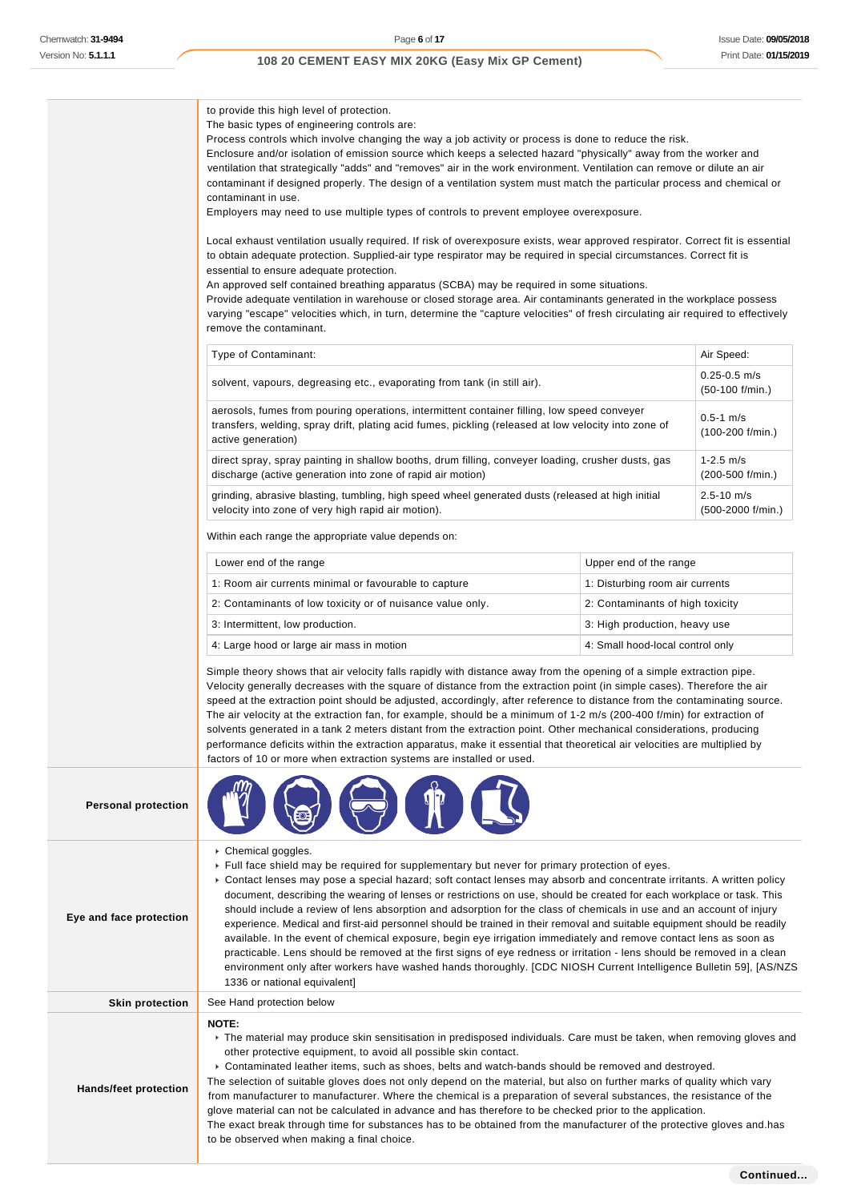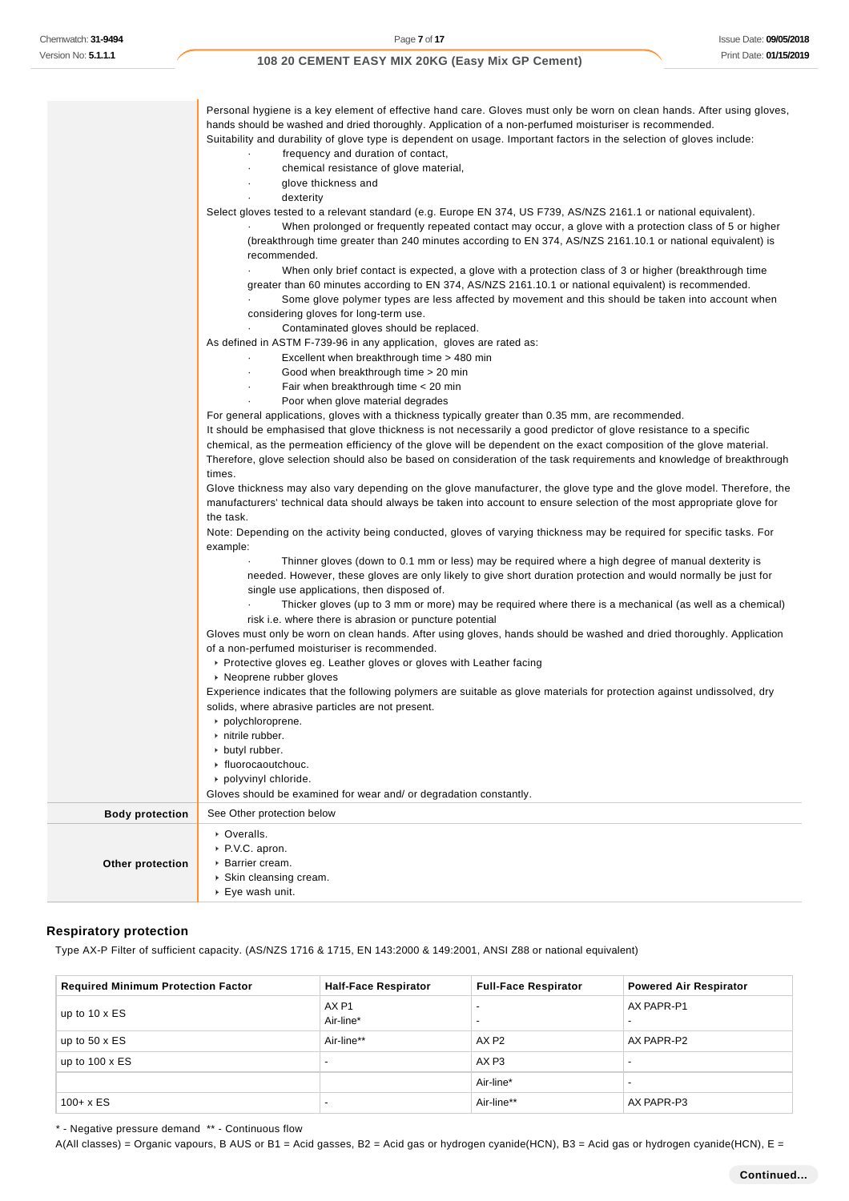| Gloves should be examined for wear and/ or degradation constantly.<br><b>Body protection</b><br>See Other protection below<br>• Overalls.<br>▶ P.V.C. apron.<br>Other protection<br><b>Barrier cream.</b><br>▶ Skin cleansing cream.<br>▶ Eye wash unit. | Personal hygiene is a key element of effective hand care. Gloves must only be worn on clean hands. After using gloves,<br>hands should be washed and dried thoroughly. Application of a non-perfumed moisturiser is recommended.<br>Suitability and durability of glove type is dependent on usage. Important factors in the selection of gloves include:<br>frequency and duration of contact,<br>chemical resistance of glove material,<br>$\cdot$<br>glove thickness and<br>$\bullet$<br>dexterity<br>$\bullet$<br>Select gloves tested to a relevant standard (e.g. Europe EN 374, US F739, AS/NZS 2161.1 or national equivalent).<br>When prolonged or frequently repeated contact may occur, a glove with a protection class of 5 or higher<br>(breakthrough time greater than 240 minutes according to EN 374, AS/NZS 2161.10.1 or national equivalent) is<br>recommended.<br>When only brief contact is expected, a glove with a protection class of 3 or higher (breakthrough time<br>greater than 60 minutes according to EN 374, AS/NZS 2161.10.1 or national equivalent) is recommended.<br>Some glove polymer types are less affected by movement and this should be taken into account when<br>considering gloves for long-term use.<br>Contaminated gloves should be replaced.<br>As defined in ASTM F-739-96 in any application, gloves are rated as:<br>Excellent when breakthrough time > 480 min<br>$\cdot$<br>Good when breakthrough time > 20 min<br>$\cdot$<br>Fair when breakthrough time < 20 min<br>Poor when glove material degrades<br>For general applications, gloves with a thickness typically greater than 0.35 mm, are recommended.<br>It should be emphasised that glove thickness is not necessarily a good predictor of glove resistance to a specific<br>chemical, as the permeation efficiency of the glove will be dependent on the exact composition of the glove material.<br>Therefore, glove selection should also be based on consideration of the task requirements and knowledge of breakthrough<br>times.<br>Glove thickness may also vary depending on the glove manufacturer, the glove type and the glove model. Therefore, the<br>manufacturers' technical data should always be taken into account to ensure selection of the most appropriate glove for<br>the task.<br>Note: Depending on the activity being conducted, gloves of varying thickness may be required for specific tasks. For<br>example:<br>Thinner gloves (down to 0.1 mm or less) may be required where a high degree of manual dexterity is<br>needed. However, these gloves are only likely to give short duration protection and would normally be just for<br>single use applications, then disposed of<br>Thicker gloves (up to 3 mm or more) may be required where there is a mechanical (as well as a chemical)<br>risk i.e. where there is abrasion or puncture potential<br>Gloves must only be worn on clean hands. After using gloves, hands should be washed and dried thoroughly. Application<br>of a non-perfumed moisturiser is recommended.<br>▶ Protective gloves eg. Leather gloves or gloves with Leather facing<br>▶ Neoprene rubber gloves<br>Experience indicates that the following polymers are suitable as glove materials for protection against undissolved, dry<br>solids, where abrasive particles are not present.<br>polychloroprene.<br>$\cdot$ nitrile rubber.<br>butyl rubber.<br>• fluorocaoutchouc. |
|----------------------------------------------------------------------------------------------------------------------------------------------------------------------------------------------------------------------------------------------------------|----------------------------------------------------------------------------------------------------------------------------------------------------------------------------------------------------------------------------------------------------------------------------------------------------------------------------------------------------------------------------------------------------------------------------------------------------------------------------------------------------------------------------------------------------------------------------------------------------------------------------------------------------------------------------------------------------------------------------------------------------------------------------------------------------------------------------------------------------------------------------------------------------------------------------------------------------------------------------------------------------------------------------------------------------------------------------------------------------------------------------------------------------------------------------------------------------------------------------------------------------------------------------------------------------------------------------------------------------------------------------------------------------------------------------------------------------------------------------------------------------------------------------------------------------------------------------------------------------------------------------------------------------------------------------------------------------------------------------------------------------------------------------------------------------------------------------------------------------------------------------------------------------------------------------------------------------------------------------------------------------------------------------------------------------------------------------------------------------------------------------------------------------------------------------------------------------------------------------------------------------------------------------------------------------------------------------------------------------------------------------------------------------------------------------------------------------------------------------------------------------------------------------------------------------------------------------------------------------------------------------------------------------------------------------------------------------------------------------------------------------------------------------------------------------------------------------------------------------------------------------------------------------------------------------------------------------------------------------------------------------------------------------------------------------------------------------------------------------------------------------------------------------------------------------------------------------------------------------------------------------------------------------------------------------------------------------------------------------------------------------------------------------------------------------------------------------------------|
|                                                                                                                                                                                                                                                          | polyvinyl chloride.                                                                                                                                                                                                                                                                                                                                                                                                                                                                                                                                                                                                                                                                                                                                                                                                                                                                                                                                                                                                                                                                                                                                                                                                                                                                                                                                                                                                                                                                                                                                                                                                                                                                                                                                                                                                                                                                                                                                                                                                                                                                                                                                                                                                                                                                                                                                                                                                                                                                                                                                                                                                                                                                                                                                                                                                                                                                                                                                                                                                                                                                                                                                                                                                                                                                                                                                                                                                                                            |
|                                                                                                                                                                                                                                                          |                                                                                                                                                                                                                                                                                                                                                                                                                                                                                                                                                                                                                                                                                                                                                                                                                                                                                                                                                                                                                                                                                                                                                                                                                                                                                                                                                                                                                                                                                                                                                                                                                                                                                                                                                                                                                                                                                                                                                                                                                                                                                                                                                                                                                                                                                                                                                                                                                                                                                                                                                                                                                                                                                                                                                                                                                                                                                                                                                                                                                                                                                                                                                                                                                                                                                                                                                                                                                                                                |
|                                                                                                                                                                                                                                                          |                                                                                                                                                                                                                                                                                                                                                                                                                                                                                                                                                                                                                                                                                                                                                                                                                                                                                                                                                                                                                                                                                                                                                                                                                                                                                                                                                                                                                                                                                                                                                                                                                                                                                                                                                                                                                                                                                                                                                                                                                                                                                                                                                                                                                                                                                                                                                                                                                                                                                                                                                                                                                                                                                                                                                                                                                                                                                                                                                                                                                                                                                                                                                                                                                                                                                                                                                                                                                                                                |

## **Respiratory protection**

Type AX-P Filter of sufficient capacity. (AS/NZS 1716 & 1715, EN 143:2000 & 149:2001, ANSI Z88 or national equivalent)

| <b>Required Minimum Protection Factor</b> | <b>Half-Face Respirator</b>   | <b>Full-Face Respirator</b> | <b>Powered Air Respirator</b>          |
|-------------------------------------------|-------------------------------|-----------------------------|----------------------------------------|
| up to $10 \times ES$                      | AX <sub>P1</sub><br>Air-line* |                             | AX PAPR-P1<br>$\overline{\phantom{a}}$ |
| up to $50 \times ES$                      | Air-line**                    | AX <sub>P2</sub>            | AX PAPR-P2                             |
| up to $100 \times ES$                     | $\overline{\phantom{0}}$      | AX P3                       | $\overline{\phantom{a}}$               |
|                                           |                               | Air-line*                   | $\overline{\phantom{a}}$               |
| $100 + x ES$                              |                               | Air-line**                  | AX PAPR-P3                             |

\* - Negative pressure demand \*\* - Continuous flow

A(All classes) = Organic vapours, B AUS or B1 = Acid gasses, B2 = Acid gas or hydrogen cyanide(HCN), B3 = Acid gas or hydrogen cyanide(HCN), E =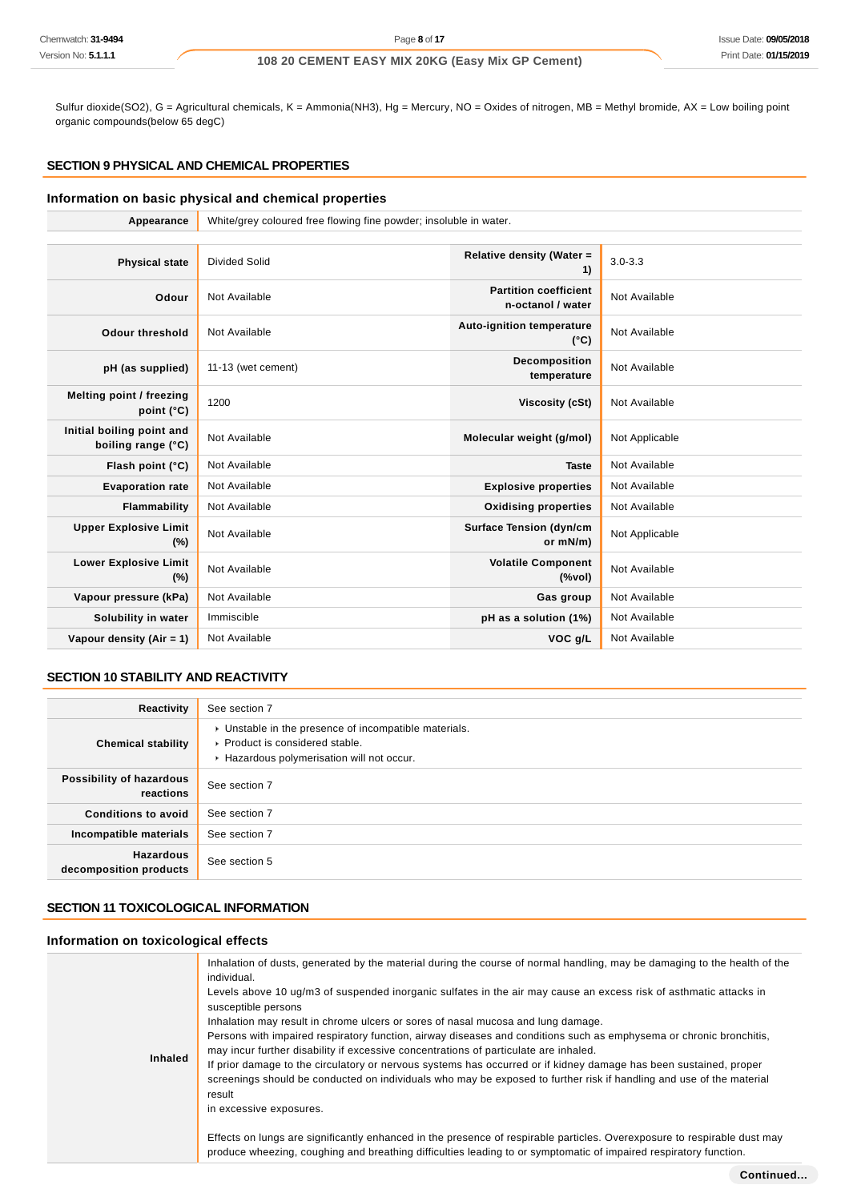Sulfur dioxide(SO2), G = Agricultural chemicals, K = Ammonia(NH3), Hg = Mercury, NO = Oxides of nitrogen, MB = Methyl bromide, AX = Low boiling point organic compounds(below 65 degC)

## **SECTION 9 PHYSICAL AND CHEMICAL PROPERTIES**

#### **Information on basic physical and chemical properties**

| Appearance                                      | White/grey coloured free flowing fine powder; insoluble in water. |                                                                               |                |
|-------------------------------------------------|-------------------------------------------------------------------|-------------------------------------------------------------------------------|----------------|
|                                                 |                                                                   |                                                                               |                |
| <b>Physical state</b>                           | <b>Divided Solid</b>                                              | Relative density (Water =<br>1)                                               | $3.0 - 3.3$    |
| Odour                                           | Not Available                                                     | <b>Partition coefficient</b><br>n-octanol / water                             | Not Available  |
| <b>Odour threshold</b>                          | Not Available                                                     | <b>Auto-ignition temperature</b><br>$(^{\circ}C)$                             | Not Available  |
| pH (as supplied)                                | 11-13 (wet cement)                                                | Decomposition<br>temperature                                                  | Not Available  |
| Melting point / freezing<br>point $(^{\circ}C)$ | 1200                                                              | <b>Viscosity (cSt)</b>                                                        | Not Available  |
| Initial boiling point and<br>boiling range (°C) | Not Available                                                     | Molecular weight (g/mol)                                                      | Not Applicable |
| Flash point (°C)                                | Not Available                                                     | <b>Taste</b>                                                                  | Not Available  |
| <b>Evaporation rate</b>                         | Not Available                                                     | <b>Explosive properties</b>                                                   | Not Available  |
| Flammability                                    | Not Available                                                     | <b>Oxidising properties</b>                                                   | Not Available  |
| <b>Upper Explosive Limit</b><br>(%)             | Not Available                                                     | <b>Surface Tension (dyn/cm</b><br>or mN/m)                                    | Not Applicable |
| <b>Lower Explosive Limit</b><br>(%)             | Not Available                                                     | <b>Volatile Component</b><br>$(% \mathcal{L}^{\prime }\mathcal{N}^{\prime })$ | Not Available  |
| Vapour pressure (kPa)                           | Not Available                                                     | Gas group                                                                     | Not Available  |
| Solubility in water                             | Immiscible                                                        | pH as a solution (1%)                                                         | Not Available  |
| Vapour density $(Air = 1)$                      | Not Available                                                     | VOC g/L                                                                       | Not Available  |

#### **SECTION 10 STABILITY AND REACTIVITY**

| Reactivity                                 | See section 7                                                                                                                        |
|--------------------------------------------|--------------------------------------------------------------------------------------------------------------------------------------|
| <b>Chemical stability</b>                  | • Unstable in the presence of incompatible materials.<br>▶ Product is considered stable.<br>Hazardous polymerisation will not occur. |
| Possibility of hazardous<br>reactions      | See section 7                                                                                                                        |
| <b>Conditions to avoid</b>                 | See section 7                                                                                                                        |
| Incompatible materials                     | See section 7                                                                                                                        |
| <b>Hazardous</b><br>decomposition products | See section 5                                                                                                                        |

#### **SECTION 11 TOXICOLOGICAL INFORMATION**

## **Information on toxicological effects**

| <b>Inhaled</b> | Inhalation of dusts, generated by the material during the course of normal handling, may be damaging to the health of the<br>individual.<br>Levels above 10 ug/m3 of suspended inorganic sulfates in the air may cause an excess risk of asthmatic attacks in<br>susceptible persons<br>Inhalation may result in chrome ulcers or sores of nasal mucosa and lung damage.<br>Persons with impaired respiratory function, airway diseases and conditions such as emphysema or chronic bronchitis,<br>may incur further disability if excessive concentrations of particulate are inhaled.<br>If prior damage to the circulatory or nervous systems has occurred or if kidney damage has been sustained, proper<br>screenings should be conducted on individuals who may be exposed to further risk if handling and use of the material<br>result<br>in excessive exposures. |
|----------------|---------------------------------------------------------------------------------------------------------------------------------------------------------------------------------------------------------------------------------------------------------------------------------------------------------------------------------------------------------------------------------------------------------------------------------------------------------------------------------------------------------------------------------------------------------------------------------------------------------------------------------------------------------------------------------------------------------------------------------------------------------------------------------------------------------------------------------------------------------------------------|
|                | Effects on lungs are significantly enhanced in the presence of respirable particles. Overexposure to respirable dust may<br>produce wheezing, coughing and breathing difficulties leading to or symptomatic of impaired respiratory function.                                                                                                                                                                                                                                                                                                                                                                                                                                                                                                                                                                                                                             |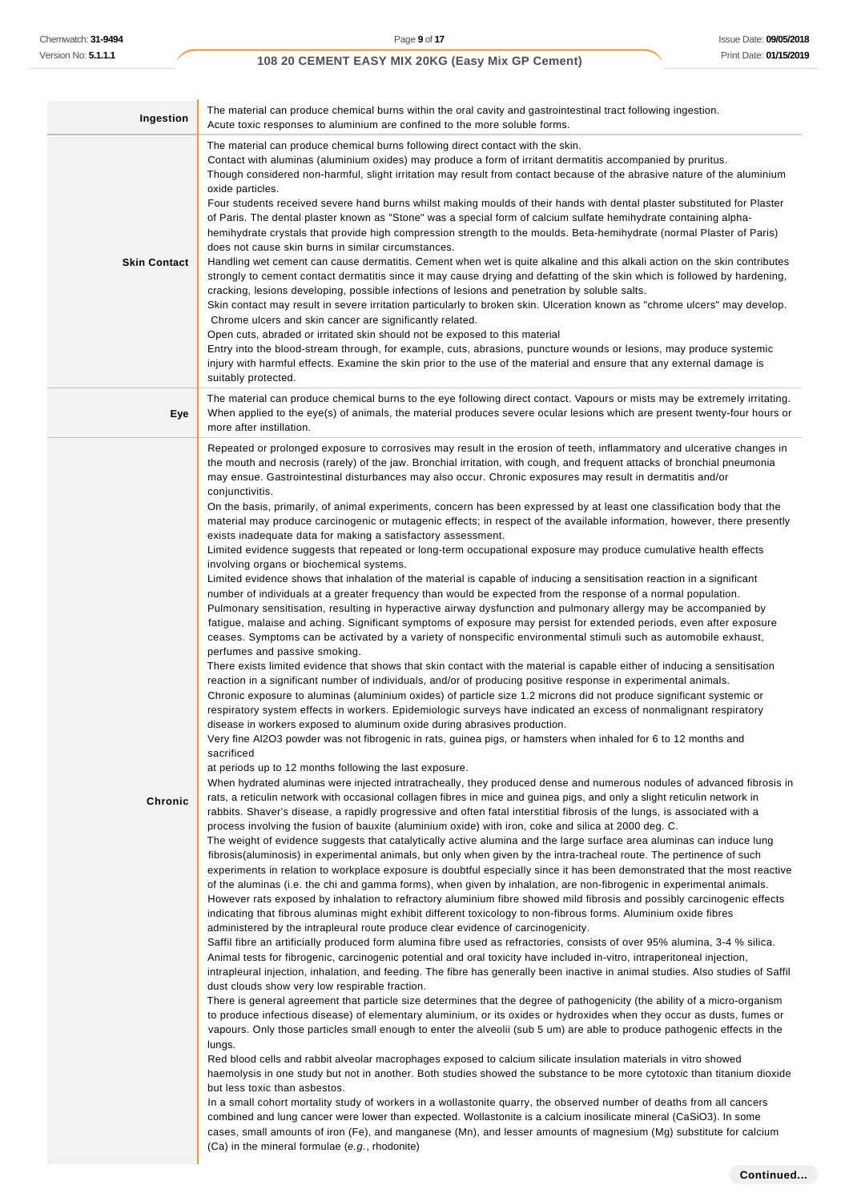l.

## **108 20 CEMENT EASY MIX 20KG (Easy Mix GP Cement)**

| Ingestion           | The material can produce chemical burns within the oral cavity and gastrointestinal tract following ingestion.<br>Acute toxic responses to aluminium are confined to the more soluble forms.                                                                                                                                                                                                                                                                                                                                                                                                                                                                                                                                                                                                                                                                                                                                                                                                                                                                                                                                                                                                                                                                                                                                                                                                                                                                                                                                                                                                                                                                                                                                                                                                                                                                                                                                                                                                                                                                                                                                                                                                                                                                                                                                                                                                                                                                                                                                                                                                                                                                                                                                                                                                                                                                                                                                                                                                                                                                                                                                                                                                                                                                                                                                                                                                                                                                                                                                                                                                                                                                                                                                                                                                                                                                                                                                                                                                                                                                                                                                                                                                                                                                                                                                                                                                                                                                                                                                                                                                                                                                                                                                                                                                                                                                                                                                                                                                                                                                                                                                                                                                     |
|---------------------|--------------------------------------------------------------------------------------------------------------------------------------------------------------------------------------------------------------------------------------------------------------------------------------------------------------------------------------------------------------------------------------------------------------------------------------------------------------------------------------------------------------------------------------------------------------------------------------------------------------------------------------------------------------------------------------------------------------------------------------------------------------------------------------------------------------------------------------------------------------------------------------------------------------------------------------------------------------------------------------------------------------------------------------------------------------------------------------------------------------------------------------------------------------------------------------------------------------------------------------------------------------------------------------------------------------------------------------------------------------------------------------------------------------------------------------------------------------------------------------------------------------------------------------------------------------------------------------------------------------------------------------------------------------------------------------------------------------------------------------------------------------------------------------------------------------------------------------------------------------------------------------------------------------------------------------------------------------------------------------------------------------------------------------------------------------------------------------------------------------------------------------------------------------------------------------------------------------------------------------------------------------------------------------------------------------------------------------------------------------------------------------------------------------------------------------------------------------------------------------------------------------------------------------------------------------------------------------------------------------------------------------------------------------------------------------------------------------------------------------------------------------------------------------------------------------------------------------------------------------------------------------------------------------------------------------------------------------------------------------------------------------------------------------------------------------------------------------------------------------------------------------------------------------------------------------------------------------------------------------------------------------------------------------------------------------------------------------------------------------------------------------------------------------------------------------------------------------------------------------------------------------------------------------------------------------------------------------------------------------------------------------------------------------------------------------------------------------------------------------------------------------------------------------------------------------------------------------------------------------------------------------------------------------------------------------------------------------------------------------------------------------------------------------------------------------------------------------------------------------------------------------------------------------------------------------------------------------------------------------------------------------------------------------------------------------------------------------------------------------------------------------------------------------------------------------------------------------------------------------------------------------------------------------------------------------------------------------------------------------------------------------------------------------------------------------------------------------------------------------------------------------------------------------------------------------------------------------------------------------------------------------------------------------------------------------------------------------------------------------------------------------------------------------------------------------------------------------------------------------------------------------------------------------------------------------------------|
| <b>Skin Contact</b> | The material can produce chemical burns following direct contact with the skin.<br>Contact with aluminas (aluminium oxides) may produce a form of irritant dermatitis accompanied by pruritus.<br>Though considered non-harmful, slight irritation may result from contact because of the abrasive nature of the aluminium<br>oxide particles.<br>Four students received severe hand burns whilst making moulds of their hands with dental plaster substituted for Plaster<br>of Paris. The dental plaster known as "Stone" was a special form of calcium sulfate hemihydrate containing alpha-<br>hemihydrate crystals that provide high compression strength to the moulds. Beta-hemihydrate (normal Plaster of Paris)<br>does not cause skin burns in similar circumstances.<br>Handling wet cement can cause dermatitis. Cement when wet is quite alkaline and this alkali action on the skin contributes<br>strongly to cement contact dermatitis since it may cause drying and defatting of the skin which is followed by hardening,<br>cracking, lesions developing, possible infections of lesions and penetration by soluble salts.<br>Skin contact may result in severe irritation particularly to broken skin. Ulceration known as "chrome ulcers" may develop.<br>Chrome ulcers and skin cancer are significantly related.<br>Open cuts, abraded or irritated skin should not be exposed to this material<br>Entry into the blood-stream through, for example, cuts, abrasions, puncture wounds or lesions, may produce systemic<br>injury with harmful effects. Examine the skin prior to the use of the material and ensure that any external damage is<br>suitably protected.                                                                                                                                                                                                                                                                                                                                                                                                                                                                                                                                                                                                                                                                                                                                                                                                                                                                                                                                                                                                                                                                                                                                                                                                                                                                                                                                                                                                                                                                                                                                                                                                                                                                                                                                                                                                                                                                                                                                                                                                                                                                                                                                                                                                                                                                                                                                                                                                                                                                                                                                                                                                                                                                                                                                                                                                                                                                                                                                                                                                                                                                                                                                                                                                                                                                                                                                                                                                                                                                                                     |
| Eye                 | The material can produce chemical burns to the eye following direct contact. Vapours or mists may be extremely irritating.<br>When applied to the eye(s) of animals, the material produces severe ocular lesions which are present twenty-four hours or<br>more after instillation.                                                                                                                                                                                                                                                                                                                                                                                                                                                                                                                                                                                                                                                                                                                                                                                                                                                                                                                                                                                                                                                                                                                                                                                                                                                                                                                                                                                                                                                                                                                                                                                                                                                                                                                                                                                                                                                                                                                                                                                                                                                                                                                                                                                                                                                                                                                                                                                                                                                                                                                                                                                                                                                                                                                                                                                                                                                                                                                                                                                                                                                                                                                                                                                                                                                                                                                                                                                                                                                                                                                                                                                                                                                                                                                                                                                                                                                                                                                                                                                                                                                                                                                                                                                                                                                                                                                                                                                                                                                                                                                                                                                                                                                                                                                                                                                                                                                                                                              |
| Chronic             | Repeated or prolonged exposure to corrosives may result in the erosion of teeth, inflammatory and ulcerative changes in<br>the mouth and necrosis (rarely) of the jaw. Bronchial irritation, with cough, and frequent attacks of bronchial pneumonia<br>may ensue. Gastrointestinal disturbances may also occur. Chronic exposures may result in dermatitis and/or<br>conjunctivitis.<br>On the basis, primarily, of animal experiments, concern has been expressed by at least one classification body that the<br>material may produce carcinogenic or mutagenic effects; in respect of the available information, however, there presently<br>exists inadequate data for making a satisfactory assessment.<br>Limited evidence suggests that repeated or long-term occupational exposure may produce cumulative health effects<br>involving organs or biochemical systems.<br>Limited evidence shows that inhalation of the material is capable of inducing a sensitisation reaction in a significant<br>number of individuals at a greater frequency than would be expected from the response of a normal population.<br>Pulmonary sensitisation, resulting in hyperactive airway dysfunction and pulmonary allergy may be accompanied by<br>fatigue, malaise and aching. Significant symptoms of exposure may persist for extended periods, even after exposure<br>ceases. Symptoms can be activated by a variety of nonspecific environmental stimuli such as automobile exhaust,<br>perfumes and passive smoking.<br>There exists limited evidence that shows that skin contact with the material is capable either of inducing a sensitisation<br>reaction in a significant number of individuals, and/or of producing positive response in experimental animals.<br>Chronic exposure to aluminas (aluminium oxides) of particle size 1.2 microns did not produce significant systemic or<br>respiratory system effects in workers. Epidemiologic surveys have indicated an excess of nonmalignant respiratory<br>disease in workers exposed to aluminum oxide during abrasives production.<br>Very fine Al2O3 powder was not fibrogenic in rats, guinea pigs, or hamsters when inhaled for 6 to 12 months and<br>sacrificed<br>at periods up to 12 months following the last exposure.<br>When hydrated aluminas were injected intratracheally, they produced dense and numerous nodules of advanced fibrosis in<br>rats, a reticulin network with occasional collagen fibres in mice and guinea pigs, and only a slight reticulin network in<br>rabbits. Shaver's disease, a rapidly progressive and often fatal interstitial fibrosis of the lungs, is associated with a<br>process involving the fusion of bauxite (aluminium oxide) with iron, coke and silica at 2000 deg. C.<br>The weight of evidence suggests that catalytically active alumina and the large surface area aluminas can induce lung<br>fibrosis (aluminosis) in experimental animals, but only when given by the intra-tracheal route. The pertinence of such<br>experiments in relation to workplace exposure is doubtful especially since it has been demonstrated that the most reactive<br>of the aluminas (i.e. the chi and gamma forms), when given by inhalation, are non-fibrogenic in experimental animals.<br>However rats exposed by inhalation to refractory aluminium fibre showed mild fibrosis and possibly carcinogenic effects<br>indicating that fibrous aluminas might exhibit different toxicology to non-fibrous forms. Aluminium oxide fibres<br>administered by the intrapleural route produce clear evidence of carcinogenicity.<br>Saffil fibre an artificially produced form alumina fibre used as refractories, consists of over 95% alumina, 3-4 % silica.<br>Animal tests for fibrogenic, carcinogenic potential and oral toxicity have included in-vitro, intraperitoneal injection,<br>intrapleural injection, inhalation, and feeding. The fibre has generally been inactive in animal studies. Also studies of Saffil<br>dust clouds show very low respirable fraction.<br>There is general agreement that particle size determines that the degree of pathogenicity (the ability of a micro-organism<br>to produce infectious disease) of elementary aluminium, or its oxides or hydroxides when they occur as dusts, fumes or<br>vapours. Only those particles small enough to enter the alveolii (sub 5 um) are able to produce pathogenic effects in the<br>lungs.<br>Red blood cells and rabbit alveolar macrophages exposed to calcium silicate insulation materials in vitro showed<br>haemolysis in one study but not in another. Both studies showed the substance to be more cytotoxic than titanium dioxide<br>but less toxic than asbestos.<br>In a small cohort mortality study of workers in a wollastonite quarry, the observed number of deaths from all cancers<br>combined and lung cancer were lower than expected. Wollastonite is a calcium inosilicate mineral (CaSiO3). In some<br>cases, small amounts of iron (Fe), and manganese (Mn), and lesser amounts of magnesium (Mg) substitute for calcium<br>(Ca) in the mineral formulae (e.g., rhodonite) |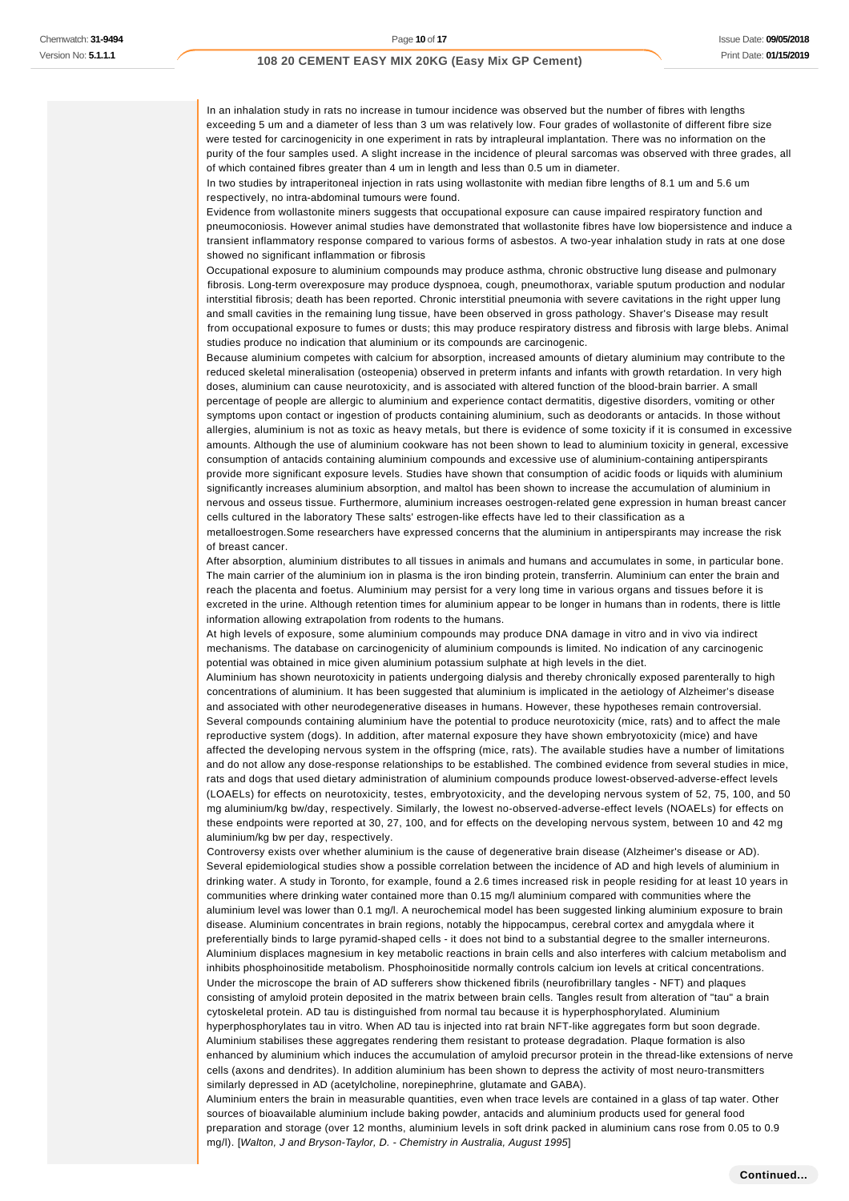In an inhalation study in rats no increase in tumour incidence was observed but the number of fibres with lengths exceeding 5 um and a diameter of less than 3 um was relatively low. Four grades of wollastonite of different fibre size were tested for carcinogenicity in one experiment in rats by intrapleural implantation. There was no information on the purity of the four samples used. A slight increase in the incidence of pleural sarcomas was observed with three grades, all of which contained fibres greater than 4 um in length and less than 0.5 um in diameter.

In two studies by intraperitoneal injection in rats using wollastonite with median fibre lengths of 8.1 um and 5.6 um respectively, no intra-abdominal tumours were found.

Evidence from wollastonite miners suggests that occupational exposure can cause impaired respiratory function and pneumoconiosis. However animal studies have demonstrated that wollastonite fibres have low biopersistence and induce a transient inflammatory response compared to various forms of asbestos. A two-year inhalation study in rats at one dose showed no significant inflammation or fibrosis

Occupational exposure to aluminium compounds may produce asthma, chronic obstructive lung disease and pulmonary fibrosis. Long-term overexposure may produce dyspnoea, cough, pneumothorax, variable sputum production and nodular interstitial fibrosis; death has been reported. Chronic interstitial pneumonia with severe cavitations in the right upper lung and small cavities in the remaining lung tissue, have been observed in gross pathology. Shaver's Disease may result from occupational exposure to fumes or dusts; this may produce respiratory distress and fibrosis with large blebs. Animal studies produce no indication that aluminium or its compounds are carcinogenic.

Because aluminium competes with calcium for absorption, increased amounts of dietary aluminium may contribute to the reduced skeletal mineralisation (osteopenia) observed in preterm infants and infants with growth retardation. In very high doses, aluminium can cause neurotoxicity, and is associated with altered function of the blood-brain barrier. A small percentage of people are allergic to aluminium and experience contact dermatitis, digestive disorders, vomiting or other symptoms upon contact or ingestion of products containing aluminium, such as deodorants or antacids. In those without allergies, aluminium is not as toxic as heavy metals, but there is evidence of some toxicity if it is consumed in excessive amounts. Although the use of aluminium cookware has not been shown to lead to aluminium toxicity in general, excessive consumption of antacids containing aluminium compounds and excessive use of aluminium-containing antiperspirants provide more significant exposure levels. Studies have shown that consumption of acidic foods or liquids with aluminium significantly increases aluminium absorption, and maltol has been shown to increase the accumulation of aluminium in nervous and osseus tissue. Furthermore, aluminium increases oestrogen-related gene expression in human breast cancer cells cultured in the laboratory These salts' estrogen-like effects have led to their classification as a

metalloestrogen.Some researchers have expressed concerns that the aluminium in antiperspirants may increase the risk of breast cancer.

After absorption, aluminium distributes to all tissues in animals and humans and accumulates in some, in particular bone. The main carrier of the aluminium ion in plasma is the iron binding protein, transferrin. Aluminium can enter the brain and reach the placenta and foetus. Aluminium may persist for a very long time in various organs and tissues before it is excreted in the urine. Although retention times for aluminium appear to be longer in humans than in rodents, there is little information allowing extrapolation from rodents to the humans.

At high levels of exposure, some aluminium compounds may produce DNA damage in vitro and in vivo via indirect mechanisms. The database on carcinogenicity of aluminium compounds is limited. No indication of any carcinogenic potential was obtained in mice given aluminium potassium sulphate at high levels in the diet.

Aluminium has shown neurotoxicity in patients undergoing dialysis and thereby chronically exposed parenterally to high concentrations of aluminium. It has been suggested that aluminium is implicated in the aetiology of Alzheimer's disease and associated with other neurodegenerative diseases in humans. However, these hypotheses remain controversial. Several compounds containing aluminium have the potential to produce neurotoxicity (mice, rats) and to affect the male reproductive system (dogs). In addition, after maternal exposure they have shown embryotoxicity (mice) and have affected the developing nervous system in the offspring (mice, rats). The available studies have a number of limitations and do not allow any dose-response relationships to be established. The combined evidence from several studies in mice, rats and dogs that used dietary administration of aluminium compounds produce lowest-observed-adverse-effect levels (LOAELs) for effects on neurotoxicity, testes, embryotoxicity, and the developing nervous system of 52, 75, 100, and 50 mg aluminium/kg bw/day, respectively. Similarly, the lowest no-observed-adverse-effect levels (NOAELs) for effects on these endpoints were reported at 30, 27, 100, and for effects on the developing nervous system, between 10 and 42 mg aluminium/kg bw per day, respectively.

Controversy exists over whether aluminium is the cause of degenerative brain disease (Alzheimer's disease or AD). Several epidemiological studies show a possible correlation between the incidence of AD and high levels of aluminium in drinking water. A study in Toronto, for example, found a 2.6 times increased risk in people residing for at least 10 years in communities where drinking water contained more than 0.15 mg/l aluminium compared with communities where the aluminium level was lower than 0.1 mg/l. A neurochemical model has been suggested linking aluminium exposure to brain disease. Aluminium concentrates in brain regions, notably the hippocampus, cerebral cortex and amygdala where it preferentially binds to large pyramid-shaped cells - it does not bind to a substantial degree to the smaller interneurons. Aluminium displaces magnesium in key metabolic reactions in brain cells and also interferes with calcium metabolism and inhibits phosphoinositide metabolism. Phosphoinositide normally controls calcium ion levels at critical concentrations. Under the microscope the brain of AD sufferers show thickened fibrils (neurofibrillary tangles - NFT) and plaques consisting of amyloid protein deposited in the matrix between brain cells. Tangles result from alteration of "tau" a brain cytoskeletal protein. AD tau is distinguished from normal tau because it is hyperphosphorylated. Aluminium hyperphosphorylates tau in vitro. When AD tau is injected into rat brain NFT-like aggregates form but soon degrade. Aluminium stabilises these aggregates rendering them resistant to protease degradation. Plaque formation is also enhanced by aluminium which induces the accumulation of amyloid precursor protein in the thread-like extensions of nerve cells (axons and dendrites). In addition aluminium has been shown to depress the activity of most neuro-transmitters similarly depressed in AD (acetylcholine, norepinephrine, glutamate and GABA).

Aluminium enters the brain in measurable quantities, even when trace levels are contained in a glass of tap water. Other sources of bioavailable aluminium include baking powder, antacids and aluminium products used for general food preparation and storage (over 12 months, aluminium levels in soft drink packed in aluminium cans rose from 0.05 to 0.9 mg/l). [Walton, J and Bryson-Taylor, D. - Chemistry in Australia, August 1995]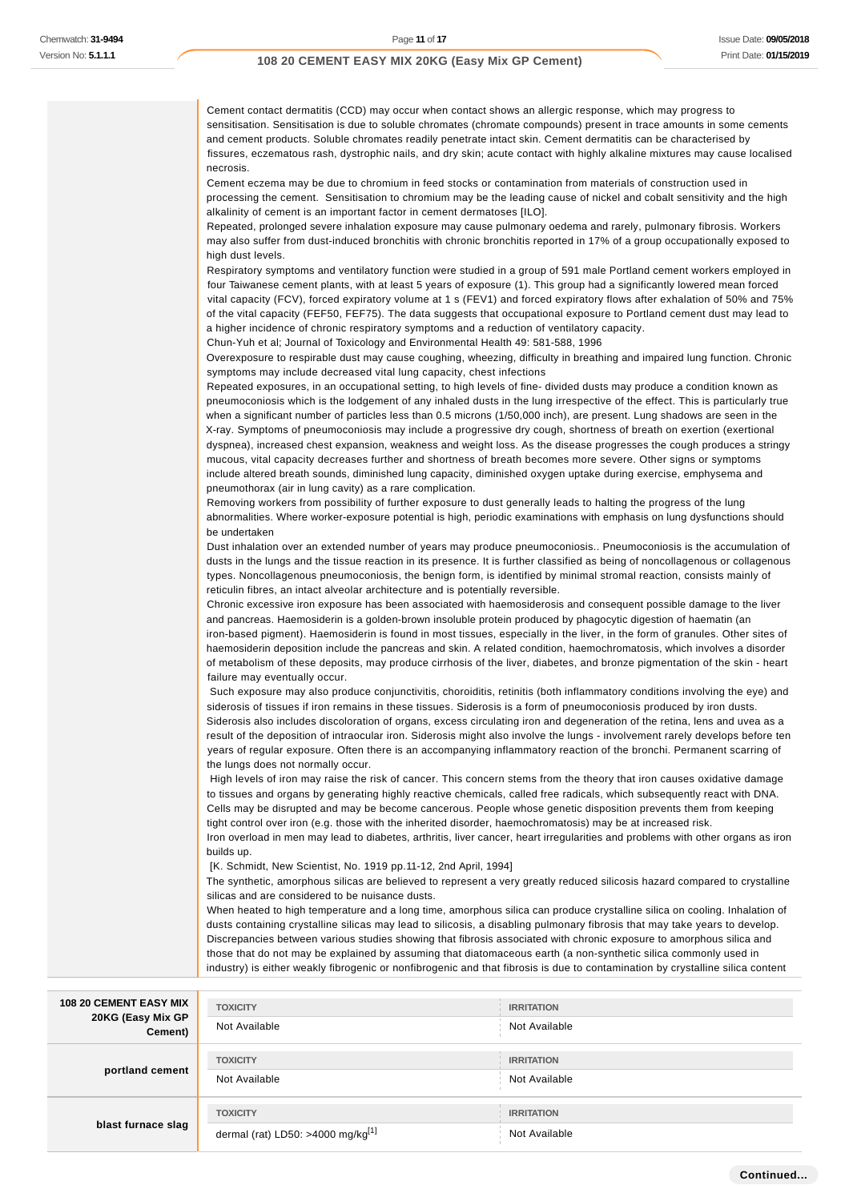**portland cement**

**blast furnace slag**

## **108 20 CEMENT EASY MIX 20KG (Easy Mix GP Cement)**

|                               | Cement contact dermatitis (CCD) may occur when contact shows an allergic response, which may progress to<br>sensitisation. Sensitisation is due to soluble chromates (chromate compounds) present in trace amounts in some cements                                                                                                                                                                                                                                                                                                                                                                                                                                                                                                                                                                                                                                                                                                |                   |
|-------------------------------|-----------------------------------------------------------------------------------------------------------------------------------------------------------------------------------------------------------------------------------------------------------------------------------------------------------------------------------------------------------------------------------------------------------------------------------------------------------------------------------------------------------------------------------------------------------------------------------------------------------------------------------------------------------------------------------------------------------------------------------------------------------------------------------------------------------------------------------------------------------------------------------------------------------------------------------|-------------------|
|                               | and cement products. Soluble chromates readily penetrate intact skin. Cement dermatitis can be characterised by                                                                                                                                                                                                                                                                                                                                                                                                                                                                                                                                                                                                                                                                                                                                                                                                                   |                   |
|                               | fissures, eczematous rash, dystrophic nails, and dry skin; acute contact with highly alkaline mixtures may cause localised<br>necrosis.                                                                                                                                                                                                                                                                                                                                                                                                                                                                                                                                                                                                                                                                                                                                                                                           |                   |
|                               | Cement eczema may be due to chromium in feed stocks or contamination from materials of construction used in                                                                                                                                                                                                                                                                                                                                                                                                                                                                                                                                                                                                                                                                                                                                                                                                                       |                   |
|                               | processing the cement. Sensitisation to chromium may be the leading cause of nickel and cobalt sensitivity and the high                                                                                                                                                                                                                                                                                                                                                                                                                                                                                                                                                                                                                                                                                                                                                                                                           |                   |
|                               | alkalinity of cement is an important factor in cement dermatoses [ILO].                                                                                                                                                                                                                                                                                                                                                                                                                                                                                                                                                                                                                                                                                                                                                                                                                                                           |                   |
|                               | Repeated, prolonged severe inhalation exposure may cause pulmonary oedema and rarely, pulmonary fibrosis. Workers<br>may also suffer from dust-induced bronchitis with chronic bronchitis reported in 17% of a group occupationally exposed to                                                                                                                                                                                                                                                                                                                                                                                                                                                                                                                                                                                                                                                                                    |                   |
|                               | high dust levels.<br>Respiratory symptoms and ventilatory function were studied in a group of 591 male Portland cement workers employed in                                                                                                                                                                                                                                                                                                                                                                                                                                                                                                                                                                                                                                                                                                                                                                                        |                   |
|                               | four Taiwanese cement plants, with at least 5 years of exposure (1). This group had a significantly lowered mean forced<br>vital capacity (FCV), forced expiratory volume at 1 s (FEV1) and forced expiratory flows after exhalation of 50% and 75%<br>of the vital capacity (FEF50, FEF75). The data suggests that occupational exposure to Portland cement dust may lead to<br>a higher incidence of chronic respiratory symptoms and a reduction of ventilatory capacity.<br>Chun-Yuh et al; Journal of Toxicology and Environmental Health 49: 581-588, 1996                                                                                                                                                                                                                                                                                                                                                                  |                   |
|                               | Overexposure to respirable dust may cause coughing, wheezing, difficulty in breathing and impaired lung function. Chronic                                                                                                                                                                                                                                                                                                                                                                                                                                                                                                                                                                                                                                                                                                                                                                                                         |                   |
|                               | symptoms may include decreased vital lung capacity, chest infections                                                                                                                                                                                                                                                                                                                                                                                                                                                                                                                                                                                                                                                                                                                                                                                                                                                              |                   |
|                               | Repeated exposures, in an occupational setting, to high levels of fine-divided dusts may produce a condition known as<br>pneumoconiosis which is the lodgement of any inhaled dusts in the lung irrespective of the effect. This is particularly true<br>when a significant number of particles less than 0.5 microns (1/50,000 inch), are present. Lung shadows are seen in the<br>X-ray. Symptoms of pneumoconiosis may include a progressive dry cough, shortness of breath on exertion (exertional<br>dyspnea), increased chest expansion, weakness and weight loss. As the disease progresses the cough produces a stringy<br>mucous, vital capacity decreases further and shortness of breath becomes more severe. Other signs or symptoms<br>include altered breath sounds, diminished lung capacity, diminished oxygen uptake during exercise, emphysema and<br>pneumothorax (air in lung cavity) as a rare complication. |                   |
|                               | Removing workers from possibility of further exposure to dust generally leads to halting the progress of the lung                                                                                                                                                                                                                                                                                                                                                                                                                                                                                                                                                                                                                                                                                                                                                                                                                 |                   |
|                               | abnormalities. Where worker-exposure potential is high, periodic examinations with emphasis on lung dysfunctions should                                                                                                                                                                                                                                                                                                                                                                                                                                                                                                                                                                                                                                                                                                                                                                                                           |                   |
|                               | be undertaken<br>Dust inhalation over an extended number of years may produce pneumoconiosis Pneumoconiosis is the accumulation of<br>dusts in the lungs and the tissue reaction in its presence. It is further classified as being of noncollagenous or collagenous<br>types. Noncollagenous pneumoconiosis, the benign form, is identified by minimal stromal reaction, consists mainly of<br>reticulin fibres, an intact alveolar architecture and is potentially reversible.                                                                                                                                                                                                                                                                                                                                                                                                                                                  |                   |
|                               | Chronic excessive iron exposure has been associated with haemosiderosis and consequent possible damage to the liver<br>and pancreas. Haemosiderin is a golden-brown insoluble protein produced by phagocytic digestion of haematin (an<br>iron-based pigment). Haemosiderin is found in most tissues, especially in the liver, in the form of granules. Other sites of<br>haemosiderin deposition include the pancreas and skin. A related condition, haemochromatosis, which involves a disorder<br>of metabolism of these deposits, may produce cirrhosis of the liver, diabetes, and bronze pigmentation of the skin - heart                                                                                                                                                                                                                                                                                                   |                   |
|                               | failure may eventually occur.                                                                                                                                                                                                                                                                                                                                                                                                                                                                                                                                                                                                                                                                                                                                                                                                                                                                                                     |                   |
|                               | Such exposure may also produce conjunctivitis, choroiditis, retinitis (both inflammatory conditions involving the eye) and<br>siderosis of tissues if iron remains in these tissues. Siderosis is a form of pneumoconiosis produced by iron dusts.<br>Siderosis also includes discoloration of organs, excess circulating iron and degeneration of the retina, lens and uvea as a<br>result of the deposition of intraocular iron. Siderosis might also involve the lungs - involvement rarely develops before ten<br>years of regular exposure. Often there is an accompanying inflammatory reaction of the bronchi. Permanent scarring of<br>the lungs does not normally occur.                                                                                                                                                                                                                                                 |                   |
|                               | High levels of iron may raise the risk of cancer. This concern stems from the theory that iron causes oxidative damage<br>to tissues and organs by generating highly reactive chemicals, called free radicals, which subsequently react with DNA.<br>Cells may be disrupted and may be become cancerous. People whose genetic disposition prevents them from keeping<br>tight control over iron (e.g. those with the inherited disorder, haemochromatosis) may be at increased risk.<br>Iron overload in men may lead to diabetes, arthritis, liver cancer, heart irregularities and problems with other organs as iron                                                                                                                                                                                                                                                                                                           |                   |
|                               | builds up.                                                                                                                                                                                                                                                                                                                                                                                                                                                                                                                                                                                                                                                                                                                                                                                                                                                                                                                        |                   |
|                               | [K. Schmidt, New Scientist, No. 1919 pp. 11-12, 2nd April, 1994]<br>The synthetic, amorphous silicas are believed to represent a very greatly reduced silicosis hazard compared to crystalline                                                                                                                                                                                                                                                                                                                                                                                                                                                                                                                                                                                                                                                                                                                                    |                   |
|                               | silicas and are considered to be nuisance dusts.                                                                                                                                                                                                                                                                                                                                                                                                                                                                                                                                                                                                                                                                                                                                                                                                                                                                                  |                   |
|                               | When heated to high temperature and a long time, amorphous silica can produce crystalline silica on cooling. Inhalation of<br>dusts containing crystalline silicas may lead to silicosis, a disabling pulmonary fibrosis that may take years to develop.<br>Discrepancies between various studies showing that fibrosis associated with chronic exposure to amorphous silica and<br>those that do not may be explained by assuming that diatomaceous earth (a non-synthetic silica commonly used in                                                                                                                                                                                                                                                                                                                                                                                                                               |                   |
|                               | industry) is either weakly fibrogenic or nonfibrogenic and that fibrosis is due to contamination by crystalline silica content                                                                                                                                                                                                                                                                                                                                                                                                                                                                                                                                                                                                                                                                                                                                                                                                    |                   |
|                               |                                                                                                                                                                                                                                                                                                                                                                                                                                                                                                                                                                                                                                                                                                                                                                                                                                                                                                                                   |                   |
| <b>108 20 CEMENT EASY MIX</b> | <b>TOXICITY</b>                                                                                                                                                                                                                                                                                                                                                                                                                                                                                                                                                                                                                                                                                                                                                                                                                                                                                                                   | <b>IRRITATION</b> |
| 20KG (Easy Mix GP<br>Cement)  | Not Available                                                                                                                                                                                                                                                                                                                                                                                                                                                                                                                                                                                                                                                                                                                                                                                                                                                                                                                     | Not Available     |
|                               |                                                                                                                                                                                                                                                                                                                                                                                                                                                                                                                                                                                                                                                                                                                                                                                                                                                                                                                                   |                   |

**TOXICITY IRRITATION** Not Available Not Available

**TOXICITY IRRITATION** dermal (rat) LD50: >4000 mg/kg<sup>[1]</sup> Not Available

|  | Continued |
|--|-----------|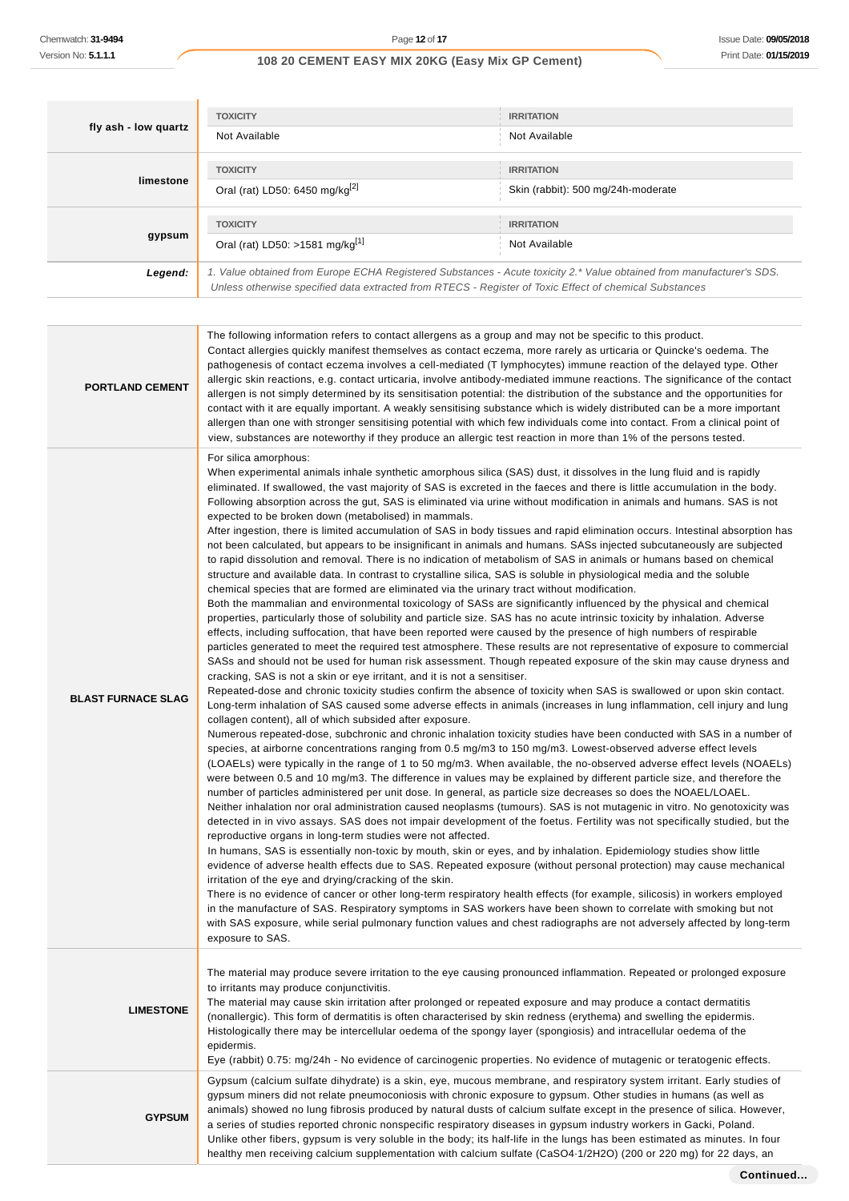| fly ash - low quartz | <b>TOXICITY</b>                                                                                                       | <b>IRRITATION</b>                  |
|----------------------|-----------------------------------------------------------------------------------------------------------------------|------------------------------------|
|                      | Not Available                                                                                                         | Not Available                      |
|                      | <b>TOXICITY</b>                                                                                                       | <b>IRRITATION</b>                  |
| limestone            | Oral (rat) LD50: 6450 mg/kg <sup>[2]</sup>                                                                            | Skin (rabbit): 500 mg/24h-moderate |
|                      | <b>TOXICITY</b>                                                                                                       | <b>IRRITATION</b>                  |
| gypsum               | Oral (rat) LD50: >1581 mg/kg <sup>[1]</sup>                                                                           | Not Available                      |
| Legend:              | 1. Value obtained from Europe ECHA Registered Substances - Acute toxicity 2.* Value obtained from manufacturer's SDS. |                                    |
|                      | Unless otherwise specified data extracted from RTECS - Register of Toxic Effect of chemical Substances                |                                    |

| <b>PORTLAND CEMENT</b>    | The following information refers to contact allergens as a group and may not be specific to this product.<br>Contact allergies quickly manifest themselves as contact eczema, more rarely as urticaria or Quincke's oedema. The<br>pathogenesis of contact eczema involves a cell-mediated (T lymphocytes) immune reaction of the delayed type. Other<br>allergic skin reactions, e.g. contact urticaria, involve antibody-mediated immune reactions. The significance of the contact<br>allergen is not simply determined by its sensitisation potential: the distribution of the substance and the opportunities for<br>contact with it are equally important. A weakly sensitising substance which is widely distributed can be a more important<br>allergen than one with stronger sensitising potential with which few individuals come into contact. From a clinical point of<br>view, substances are noteworthy if they produce an allergic test reaction in more than 1% of the persons tested.                                                                                                                                                                                                                                                                                                                                                                                                                                                                                                                                                                                                                                                                                                                                                                                                                                                                                                                                                                                                                                                                                                                                                                                                                                                                                                                                                                                                                                                                                                                                                                                                                                                                                                                                                                                                                                                                                                                                                                                                                                                                                                                                                                                                                                                                                                                                                                                                                                                                                                                                                                                                                                                                                                                                                |
|---------------------------|--------------------------------------------------------------------------------------------------------------------------------------------------------------------------------------------------------------------------------------------------------------------------------------------------------------------------------------------------------------------------------------------------------------------------------------------------------------------------------------------------------------------------------------------------------------------------------------------------------------------------------------------------------------------------------------------------------------------------------------------------------------------------------------------------------------------------------------------------------------------------------------------------------------------------------------------------------------------------------------------------------------------------------------------------------------------------------------------------------------------------------------------------------------------------------------------------------------------------------------------------------------------------------------------------------------------------------------------------------------------------------------------------------------------------------------------------------------------------------------------------------------------------------------------------------------------------------------------------------------------------------------------------------------------------------------------------------------------------------------------------------------------------------------------------------------------------------------------------------------------------------------------------------------------------------------------------------------------------------------------------------------------------------------------------------------------------------------------------------------------------------------------------------------------------------------------------------------------------------------------------------------------------------------------------------------------------------------------------------------------------------------------------------------------------------------------------------------------------------------------------------------------------------------------------------------------------------------------------------------------------------------------------------------------------------------------------------------------------------------------------------------------------------------------------------------------------------------------------------------------------------------------------------------------------------------------------------------------------------------------------------------------------------------------------------------------------------------------------------------------------------------------------------------------------------------------------------------------------------------------------------------------------------------------------------------------------------------------------------------------------------------------------------------------------------------------------------------------------------------------------------------------------------------------------------------------------------------------------------------------------------------------------------------------------------------------------------------------------------------------------------|
| <b>BLAST FURNACE SLAG</b> | For silica amorphous:<br>When experimental animals inhale synthetic amorphous silica (SAS) dust, it dissolves in the lung fluid and is rapidly<br>eliminated. If swallowed, the vast majority of SAS is excreted in the faeces and there is little accumulation in the body.<br>Following absorption across the gut, SAS is eliminated via urine without modification in animals and humans. SAS is not<br>expected to be broken down (metabolised) in mammals.<br>After ingestion, there is limited accumulation of SAS in body tissues and rapid elimination occurs. Intestinal absorption has<br>not been calculated, but appears to be insignificant in animals and humans. SASs injected subcutaneously are subjected<br>to rapid dissolution and removal. There is no indication of metabolism of SAS in animals or humans based on chemical<br>structure and available data. In contrast to crystalline silica, SAS is soluble in physiological media and the soluble<br>chemical species that are formed are eliminated via the urinary tract without modification.<br>Both the mammalian and environmental toxicology of SASs are significantly influenced by the physical and chemical<br>properties, particularly those of solubility and particle size. SAS has no acute intrinsic toxicity by inhalation. Adverse<br>effects, including suffocation, that have been reported were caused by the presence of high numbers of respirable<br>particles generated to meet the required test atmosphere. These results are not representative of exposure to commercial<br>SASs and should not be used for human risk assessment. Though repeated exposure of the skin may cause dryness and<br>cracking, SAS is not a skin or eye irritant, and it is not a sensitiser.<br>Repeated-dose and chronic toxicity studies confirm the absence of toxicity when SAS is swallowed or upon skin contact.<br>Long-term inhalation of SAS caused some adverse effects in animals (increases in lung inflammation, cell injury and lung<br>collagen content), all of which subsided after exposure.<br>Numerous repeated-dose, subchronic and chronic inhalation toxicity studies have been conducted with SAS in a number of<br>species, at airborne concentrations ranging from 0.5 mg/m3 to 150 mg/m3. Lowest-observed adverse effect levels<br>(LOAELs) were typically in the range of 1 to 50 mg/m3. When available, the no-observed adverse effect levels (NOAELs)<br>were between 0.5 and 10 mg/m3. The difference in values may be explained by different particle size, and therefore the<br>number of particles administered per unit dose. In general, as particle size decreases so does the NOAEL/LOAEL.<br>Neither inhalation nor oral administration caused neoplasms (tumours). SAS is not mutagenic in vitro. No genotoxicity was<br>detected in in vivo assays. SAS does not impair development of the foetus. Fertility was not specifically studied, but the<br>reproductive organs in long-term studies were not affected.<br>In humans, SAS is essentially non-toxic by mouth, skin or eyes, and by inhalation. Epidemiology studies show little<br>evidence of adverse health effects due to SAS. Repeated exposure (without personal protection) may cause mechanical<br>irritation of the eye and drying/cracking of the skin.<br>There is no evidence of cancer or other long-term respiratory health effects (for example, silicosis) in workers employed<br>in the manufacture of SAS. Respiratory symptoms in SAS workers have been shown to correlate with smoking but not<br>with SAS exposure, while serial pulmonary function values and chest radiographs are not adversely affected by long-term<br>exposure to SAS. |
| <b>LIMESTONE</b>          | The material may produce severe irritation to the eye causing pronounced inflammation. Repeated or prolonged exposure<br>to irritants may produce conjunctivitis.<br>The material may cause skin irritation after prolonged or repeated exposure and may produce a contact dermatitis<br>(nonallergic). This form of dermatitis is often characterised by skin redness (erythema) and swelling the epidermis.<br>Histologically there may be intercellular oedema of the spongy layer (spongiosis) and intracellular oedema of the<br>epidermis.<br>Eye (rabbit) 0.75: mg/24h - No evidence of carcinogenic properties. No evidence of mutagenic or teratogenic effects.                                                                                                                                                                                                                                                                                                                                                                                                                                                                                                                                                                                                                                                                                                                                                                                                                                                                                                                                                                                                                                                                                                                                                                                                                                                                                                                                                                                                                                                                                                                                                                                                                                                                                                                                                                                                                                                                                                                                                                                                                                                                                                                                                                                                                                                                                                                                                                                                                                                                                                                                                                                                                                                                                                                                                                                                                                                                                                                                                                                                                                                                               |
| <b>GYPSUM</b>             | Gypsum (calcium sulfate dihydrate) is a skin, eye, mucous membrane, and respiratory system irritant. Early studies of<br>gypsum miners did not relate pneumoconiosis with chronic exposure to gypsum. Other studies in humans (as well as<br>animals) showed no lung fibrosis produced by natural dusts of calcium sulfate except in the presence of silica. However,<br>a series of studies reported chronic nonspecific respiratory diseases in gypsum industry workers in Gacki, Poland.<br>Unlike other fibers, gypsum is very soluble in the body; its half-life in the lungs has been estimated as minutes. In four<br>healthy men receiving calcium supplementation with calcium sulfate (CaSO4-1/2H2O) (200 or 220 mg) for 22 days, an                                                                                                                                                                                                                                                                                                                                                                                                                                                                                                                                                                                                                                                                                                                                                                                                                                                                                                                                                                                                                                                                                                                                                                                                                                                                                                                                                                                                                                                                                                                                                                                                                                                                                                                                                                                                                                                                                                                                                                                                                                                                                                                                                                                                                                                                                                                                                                                                                                                                                                                                                                                                                                                                                                                                                                                                                                                                                                                                                                                                         |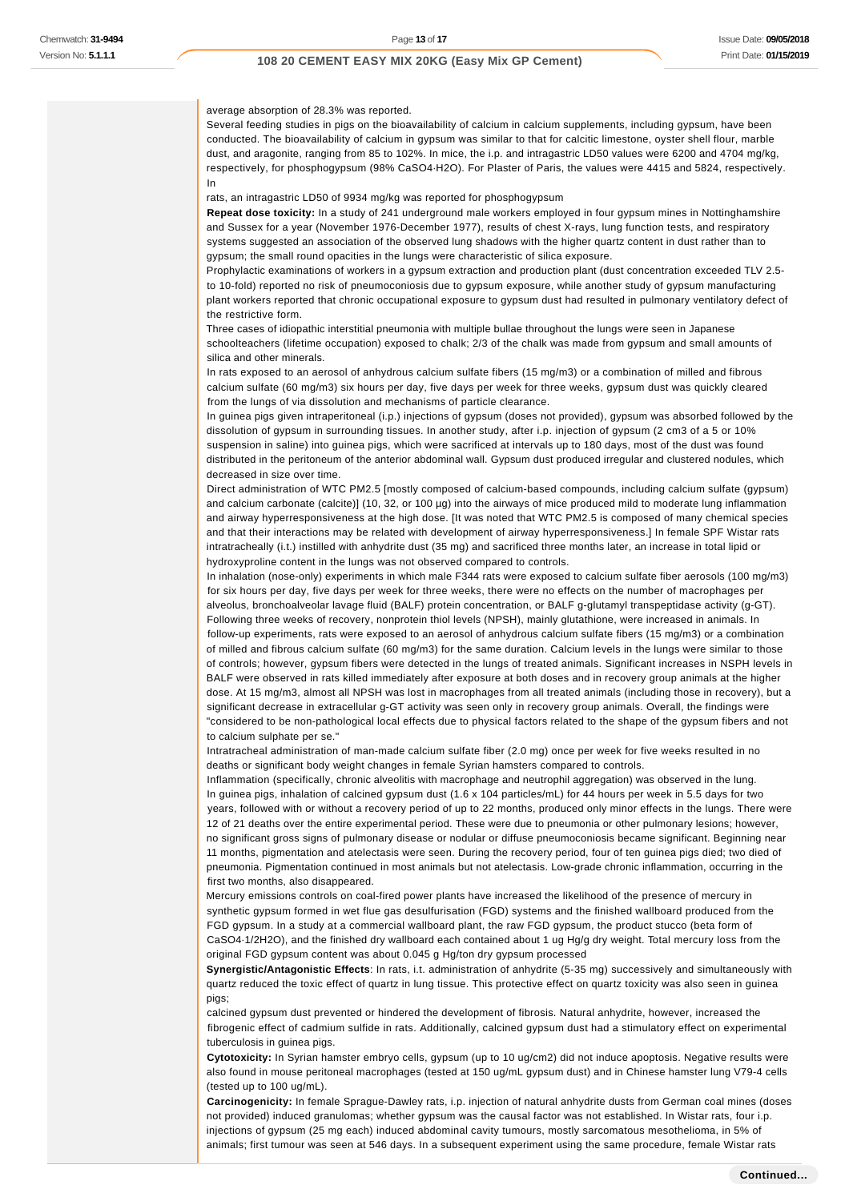#### average absorption of 28.3% was reported.

Several feeding studies in pigs on the bioavailability of calcium in calcium supplements, including gypsum, have been conducted. The bioavailability of calcium in gypsum was similar to that for calcitic limestone, oyster shell flour, marble dust, and aragonite, ranging from 85 to 102%. In mice, the i.p. and intragastric LD50 values were 6200 and 4704 mg/kg, respectively, for phosphogypsum (98% CaSO4·H2O). For Plaster of Paris, the values were 4415 and 5824, respectively. In

rats, an intragastric LD50 of 9934 mg/kg was reported for phosphogypsum

**Repeat dose toxicity:** In a study of 241 underground male workers employed in four gypsum mines in Nottinghamshire and Sussex for a year (November 1976-December 1977), results of chest X-rays, lung function tests, and respiratory systems suggested an association of the observed lung shadows with the higher quartz content in dust rather than to gypsum; the small round opacities in the lungs were characteristic of silica exposure.

Prophylactic examinations of workers in a gypsum extraction and production plant (dust concentration exceeded TLV 2.5 to 10-fold) reported no risk of pneumoconiosis due to gypsum exposure, while another study of gypsum manufacturing plant workers reported that chronic occupational exposure to gypsum dust had resulted in pulmonary ventilatory defect of the restrictive form.

Three cases of idiopathic interstitial pneumonia with multiple bullae throughout the lungs were seen in Japanese schoolteachers (lifetime occupation) exposed to chalk; 2/3 of the chalk was made from gypsum and small amounts of silica and other minerals.

In rats exposed to an aerosol of anhydrous calcium sulfate fibers (15 mg/m3) or a combination of milled and fibrous calcium sulfate (60 mg/m3) six hours per day, five days per week for three weeks, gypsum dust was quickly cleared from the lungs of via dissolution and mechanisms of particle clearance.

In guinea pigs given intraperitoneal (i.p.) injections of gypsum (doses not provided), gypsum was absorbed followed by the dissolution of gypsum in surrounding tissues. In another study, after i.p. injection of gypsum (2 cm3 of a 5 or 10% suspension in saline) into guinea pigs, which were sacrificed at intervals up to 180 days, most of the dust was found distributed in the peritoneum of the anterior abdominal wall. Gypsum dust produced irregular and clustered nodules, which decreased in size over time.

Direct administration of WTC PM2.5 [mostly composed of calcium-based compounds, including calcium sulfate (gypsum) and calcium carbonate (calcite)] (10, 32, or 100 µg) into the airways of mice produced mild to moderate lung inflammation and airway hyperresponsiveness at the high dose. [It was noted that WTC PM2.5 is composed of many chemical species and that their interactions may be related with development of airway hyperresponsiveness.] In female SPF Wistar rats intratracheally (i.t.) instilled with anhydrite dust (35 mg) and sacrificed three months later, an increase in total lipid or hydroxyproline content in the lungs was not observed compared to controls.

In inhalation (nose-only) experiments in which male F344 rats were exposed to calcium sulfate fiber aerosols (100 mg/m3) for six hours per day, five days per week for three weeks, there were no effects on the number of macrophages per alveolus, bronchoalveolar lavage fluid (BALF) protein concentration, or BALF g-glutamyl transpeptidase activity (g-GT). Following three weeks of recovery, nonprotein thiol levels (NPSH), mainly glutathione, were increased in animals. In follow-up experiments, rats were exposed to an aerosol of anhydrous calcium sulfate fibers (15 mg/m3) or a combination of milled and fibrous calcium sulfate (60 mg/m3) for the same duration. Calcium levels in the lungs were similar to those of controls; however, gypsum fibers were detected in the lungs of treated animals. Significant increases in NSPH levels in BALF were observed in rats killed immediately after exposure at both doses and in recovery group animals at the higher dose. At 15 mg/m3, almost all NPSH was lost in macrophages from all treated animals (including those in recovery), but a significant decrease in extracellular g-GT activity was seen only in recovery group animals. Overall, the findings were "considered to be non-pathological local effects due to physical factors related to the shape of the gypsum fibers and not to calcium sulphate per se."

Intratracheal administration of man-made calcium sulfate fiber (2.0 mg) once per week for five weeks resulted in no deaths or significant body weight changes in female Syrian hamsters compared to controls.

Inflammation (specifically, chronic alveolitis with macrophage and neutrophil aggregation) was observed in the lung. In guinea pigs, inhalation of calcined gypsum dust (1.6 x 104 particles/mL) for 44 hours per week in 5.5 days for two years, followed with or without a recovery period of up to 22 months, produced only minor effects in the lungs. There were 12 of 21 deaths over the entire experimental period. These were due to pneumonia or other pulmonary lesions; however, no significant gross signs of pulmonary disease or nodular or diffuse pneumoconiosis became significant. Beginning near 11 months, pigmentation and atelectasis were seen. During the recovery period, four of ten guinea pigs died; two died of pneumonia. Pigmentation continued in most animals but not atelectasis. Low-grade chronic inflammation, occurring in the first two months, also disappeared.

Mercury emissions controls on coal-fired power plants have increased the likelihood of the presence of mercury in synthetic gypsum formed in wet flue gas desulfurisation (FGD) systems and the finished wallboard produced from the FGD gypsum. In a study at a commercial wallboard plant, the raw FGD gypsum, the product stucco (beta form of CaSO4·1/2H2O), and the finished dry wallboard each contained about 1 ug Hg/g dry weight. Total mercury loss from the original FGD gypsum content was about 0.045 g Hg/ton dry gypsum processed

**Synergistic/Antagonistic Effects**: In rats, i.t. administration of anhydrite (5-35 mg) successively and simultaneously with quartz reduced the toxic effect of quartz in lung tissue. This protective effect on quartz toxicity was also seen in guinea pigs;

calcined gypsum dust prevented or hindered the development of fibrosis. Natural anhydrite, however, increased the fibrogenic effect of cadmium sulfide in rats. Additionally, calcined gypsum dust had a stimulatory effect on experimental tuberculosis in guinea pigs.

**Cytotoxicity:** In Syrian hamster embryo cells, gypsum (up to 10 ug/cm2) did not induce apoptosis. Negative results were also found in mouse peritoneal macrophages (tested at 150 ug/mL gypsum dust) and in Chinese hamster lung V79-4 cells (tested up to 100 ug/mL).

**Carcinogenicity:** In female Sprague-Dawley rats, i.p. injection of natural anhydrite dusts from German coal mines (doses not provided) induced granulomas; whether gypsum was the causal factor was not established. In Wistar rats, four i.p. injections of gypsum (25 mg each) induced abdominal cavity tumours, mostly sarcomatous mesothelioma, in 5% of animals; first tumour was seen at 546 days. In a subsequent experiment using the same procedure, female Wistar rats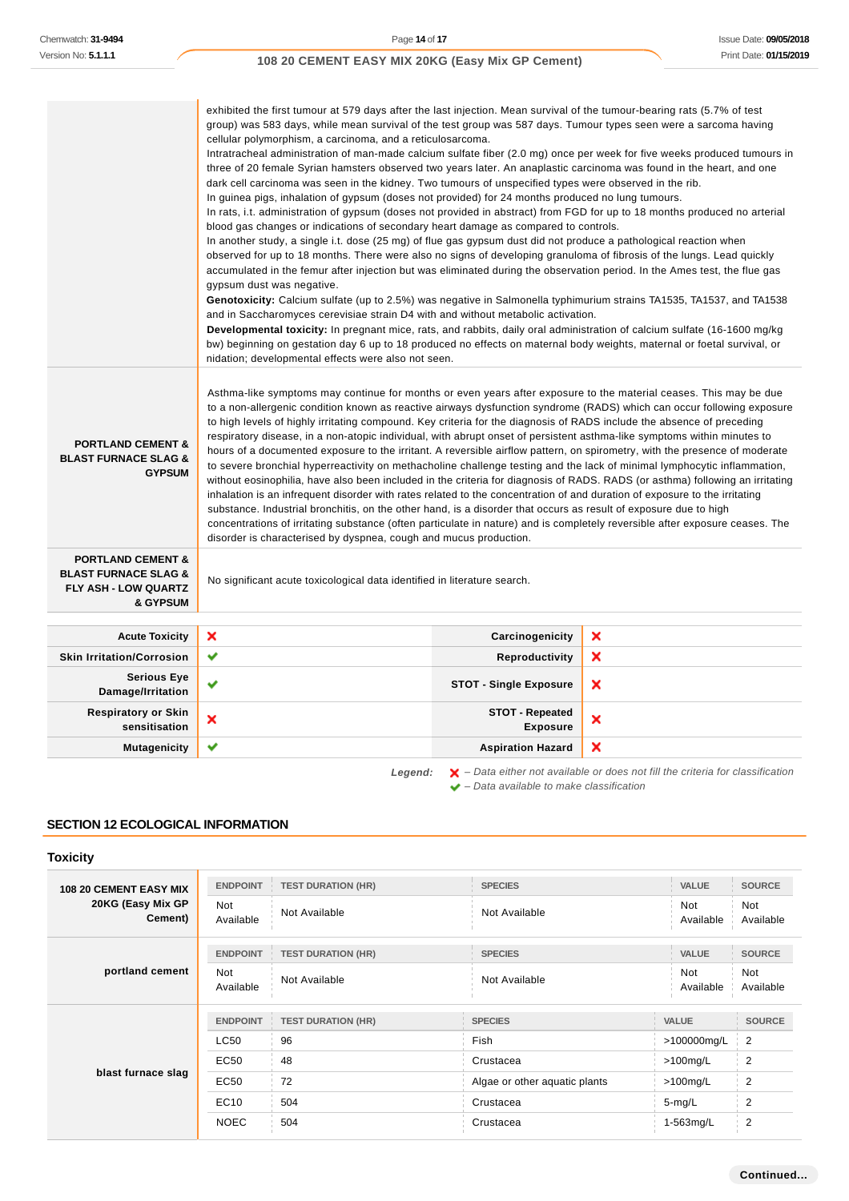| In guinea pigs, inhalation of gypsum (doses not provided) for 24 months produced no lung tumours.<br>blood gas changes or indications of secondary heart damage as compared to controls.<br>gypsum dust was negative.<br>and in Saccharomyces cerevisiae strain D4 with and without metabolic activation.<br>nidation; developmental effects were also not seen. | exhibited the first tumour at 579 days after the last injection. Mean survival of the tumour-bearing rats (5.7% of test<br>group) was 583 days, while mean survival of the test group was 587 days. Tumour types seen were a sarcoma having<br>cellular polymorphism, a carcinoma, and a reticulosarcoma.<br>Intratracheal administration of man-made calcium sulfate fiber (2.0 mg) once per week for five weeks produced tumours in<br>three of 20 female Syrian hamsters observed two years later. An anaplastic carcinoma was found in the heart, and one<br>dark cell carcinoma was seen in the kidney. Two tumours of unspecified types were observed in the rib.<br>In rats, i.t. administration of gypsum (doses not provided in abstract) from FGD for up to 18 months produced no arterial<br>In another study, a single i.t. dose (25 mg) of flue gas gypsum dust did not produce a pathological reaction when<br>observed for up to 18 months. There were also no signs of developing granuloma of fibrosis of the lungs. Lead quickly<br>accumulated in the femur after injection but was eliminated during the observation period. In the Ames test, the flue gas<br>Genotoxicity: Calcium sulfate (up to 2.5%) was negative in Salmonella typhimurium strains TA1535, TA1537, and TA1538<br>Developmental toxicity: In pregnant mice, rats, and rabbits, daily oral administration of calcium sulfate (16-1600 mg/kg)<br>bw) beginning on gestation day 6 up to 18 produced no effects on maternal body weights, maternal or foetal survival, or |  |  |
|------------------------------------------------------------------------------------------------------------------------------------------------------------------------------------------------------------------------------------------------------------------------------------------------------------------------------------------------------------------|-----------------------------------------------------------------------------------------------------------------------------------------------------------------------------------------------------------------------------------------------------------------------------------------------------------------------------------------------------------------------------------------------------------------------------------------------------------------------------------------------------------------------------------------------------------------------------------------------------------------------------------------------------------------------------------------------------------------------------------------------------------------------------------------------------------------------------------------------------------------------------------------------------------------------------------------------------------------------------------------------------------------------------------------------------------------------------------------------------------------------------------------------------------------------------------------------------------------------------------------------------------------------------------------------------------------------------------------------------------------------------------------------------------------------------------------------------------------------------------------------------------------------------------------------------------------|--|--|
| <b>PORTLAND CEMENT &amp;</b><br><b>BLAST FURNACE SLAG &amp;</b><br><b>GYPSUM</b><br>disorder is characterised by dyspnea, cough and mucus production.                                                                                                                                                                                                            | Asthma-like symptoms may continue for months or even years after exposure to the material ceases. This may be due<br>to a non-allergenic condition known as reactive airways dysfunction syndrome (RADS) which can occur following exposure<br>to high levels of highly irritating compound. Key criteria for the diagnosis of RADS include the absence of preceding<br>respiratory disease, in a non-atopic individual, with abrupt onset of persistent asthma-like symptoms within minutes to<br>hours of a documented exposure to the irritant. A reversible airflow pattern, on spirometry, with the presence of moderate<br>to severe bronchial hyperreactivity on methacholine challenge testing and the lack of minimal lymphocytic inflammation,<br>without eosinophilia, have also been included in the criteria for diagnosis of RADS. RADS (or asthma) following an irritating<br>inhalation is an infrequent disorder with rates related to the concentration of and duration of exposure to the irritating<br>substance. Industrial bronchitis, on the other hand, is a disorder that occurs as result of exposure due to high<br>concentrations of irritating substance (often particulate in nature) and is completely reversible after exposure ceases. The                                                                                                                                                                                                                                                                                     |  |  |
| <b>PORTLAND CEMENT &amp;</b><br><b>BLAST FURNACE SLAG &amp;</b><br>No significant acute toxicological data identified in literature search.<br><b>FLY ASH - LOW QUARTZ</b><br>& GYPSUM                                                                                                                                                                           |                                                                                                                                                                                                                                                                                                                                                                                                                                                                                                                                                                                                                                                                                                                                                                                                                                                                                                                                                                                                                                                                                                                                                                                                                                                                                                                                                                                                                                                                                                                                                                 |  |  |
| ×<br>×<br><b>Acute Toxicity</b><br>Carcinogenicity                                                                                                                                                                                                                                                                                                               |                                                                                                                                                                                                                                                                                                                                                                                                                                                                                                                                                                                                                                                                                                                                                                                                                                                                                                                                                                                                                                                                                                                                                                                                                                                                                                                                                                                                                                                                                                                                                                 |  |  |
| ×<br>✓<br><b>Skin Irritation/Corrosion</b><br>Reproductivity                                                                                                                                                                                                                                                                                                     |                                                                                                                                                                                                                                                                                                                                                                                                                                                                                                                                                                                                                                                                                                                                                                                                                                                                                                                                                                                                                                                                                                                                                                                                                                                                                                                                                                                                                                                                                                                                                                 |  |  |
| <b>Serious Eye</b><br>✔<br>×<br><b>STOT - Single Exposure</b><br>Damage/Irritation                                                                                                                                                                                                                                                                               |                                                                                                                                                                                                                                                                                                                                                                                                                                                                                                                                                                                                                                                                                                                                                                                                                                                                                                                                                                                                                                                                                                                                                                                                                                                                                                                                                                                                                                                                                                                                                                 |  |  |
| <b>Respiratory or Skin</b><br><b>STOT - Repeated</b><br>×<br>×<br>sensitisation<br><b>Exposure</b>                                                                                                                                                                                                                                                               |                                                                                                                                                                                                                                                                                                                                                                                                                                                                                                                                                                                                                                                                                                                                                                                                                                                                                                                                                                                                                                                                                                                                                                                                                                                                                                                                                                                                                                                                                                                                                                 |  |  |
| ✔<br>×<br><b>Mutagenicity</b><br><b>Aspiration Hazard</b>                                                                                                                                                                                                                                                                                                        |                                                                                                                                                                                                                                                                                                                                                                                                                                                                                                                                                                                                                                                                                                                                                                                                                                                                                                                                                                                                                                                                                                                                                                                                                                                                                                                                                                                                                                                                                                                                                                 |  |  |

Legend:  $\mathsf{X}$  – Data either not available or does not fill the criteria for classif  $\blacktriangleright$  – Data available to make classification

## **SECTION 12 ECOLOGICAL INFORMATION**

## **Toxicity**

| <b>108 20 CEMENT EASY MIX</b> | <b>ENDPOINT</b>         | <b>TEST DURATION (HR)</b> | <b>SPECIES</b>                | <b>VALUE</b>            | <b>SOURCE</b>    |
|-------------------------------|-------------------------|---------------------------|-------------------------------|-------------------------|------------------|
| 20KG (Easy Mix GP<br>Cement)  | <b>Not</b><br>Available | Not Available             | Not Available                 | Not<br>Available        | Not<br>Available |
|                               | <b>ENDPOINT</b>         | <b>TEST DURATION (HR)</b> | <b>SPECIES</b>                | <b>VALUE</b>            | <b>SOURCE</b>    |
| portland cement               | <b>Not</b><br>Available | Not Available             | Not Available                 | <b>Not</b><br>Available | Not<br>Available |
| blast furnace slag            | <b>ENDPOINT</b>         | <b>TEST DURATION (HR)</b> | <b>SPECIES</b>                | <b>VALUE</b>            | <b>SOURCE</b>    |
|                               | LC50                    | 96                        | Fish                          | >100000mg/L             | $\overline{2}$   |
|                               | EC50                    | 48                        | Crustacea                     | $>100$ mg/L             | $\overline{2}$   |
|                               | EC50                    | 72                        | Algae or other aquatic plants | $>100$ mg/L             | $\overline{2}$   |
|                               | EC10                    | 504                       | Crustacea                     | $5-mg/L$                | $\overline{2}$   |
|                               | <b>NOEC</b>             | 504                       | Crustacea                     | 1-563mg/L               | $\overline{c}$   |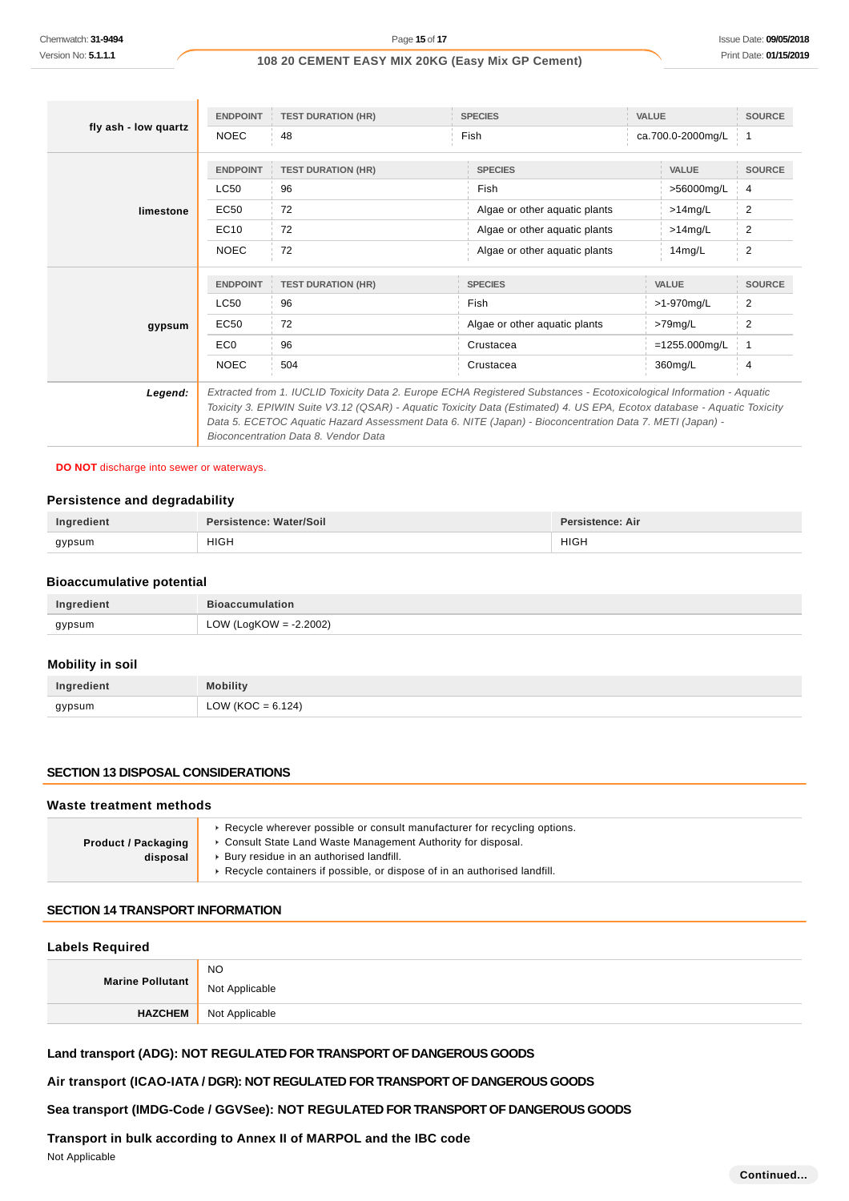|                      | <b>ENDPOINT</b>                                                                                                                                                                                                                                                                                                                                                                                    | <b>TEST DURATION (HR)</b> | <b>SPECIES</b>                | <b>VALUE</b>      | <b>SOURCE</b>  |
|----------------------|----------------------------------------------------------------------------------------------------------------------------------------------------------------------------------------------------------------------------------------------------------------------------------------------------------------------------------------------------------------------------------------------------|---------------------------|-------------------------------|-------------------|----------------|
| fly ash - low quartz | <b>NOEC</b>                                                                                                                                                                                                                                                                                                                                                                                        | 48                        | Fish                          | ca.700.0-2000mg/L |                |
|                      | <b>ENDPOINT</b>                                                                                                                                                                                                                                                                                                                                                                                    | <b>TEST DURATION (HR)</b> | <b>SPECIES</b>                | <b>VALUE</b>      | <b>SOURCE</b>  |
|                      | <b>LC50</b>                                                                                                                                                                                                                                                                                                                                                                                        | 96                        | <b>Fish</b>                   | >56000mg/L        | 4              |
| limestone            | EC50                                                                                                                                                                                                                                                                                                                                                                                               | 72                        | Algae or other aquatic plants | $>14$ mg/L        | 2              |
|                      | EC10                                                                                                                                                                                                                                                                                                                                                                                               | 72                        | Algae or other aquatic plants | $>14$ mg/L        | 2              |
|                      | <b>NOEC</b>                                                                                                                                                                                                                                                                                                                                                                                        | 72                        | Algae or other aquatic plants | $14$ mg/L         | $\overline{c}$ |
|                      | <b>ENDPOINT</b>                                                                                                                                                                                                                                                                                                                                                                                    | <b>TEST DURATION (HR)</b> | <b>SPECIES</b>                | <b>VALUE</b>      | <b>SOURCE</b>  |
|                      | <b>LC50</b>                                                                                                                                                                                                                                                                                                                                                                                        | 96                        | Fish                          | >1-970mg/L        | 2              |
| gypsum               | EC50                                                                                                                                                                                                                                                                                                                                                                                               | 72                        | Algae or other aquatic plants | $>79$ mg/L        | 2              |
|                      | EC <sub>0</sub>                                                                                                                                                                                                                                                                                                                                                                                    | 96                        | Crustacea                     | $=1255.000$ mg/L  |                |
|                      | <b>NOEC</b>                                                                                                                                                                                                                                                                                                                                                                                        | 504                       | Crustacea                     | 360mg/L           | 4              |
| Legend:              | Extracted from 1. IUCLID Toxicity Data 2. Europe ECHA Registered Substances - Ecotoxicological Information - Aquatic<br>Toxicity 3. EPIWIN Suite V3.12 (QSAR) - Aquatic Toxicity Data (Estimated) 4. US EPA, Ecotox database - Aquatic Toxicity<br>Data 5. ECETOC Aquatic Hazard Assessment Data 6. NITE (Japan) - Bioconcentration Data 7. METI (Japan) -<br>Bioconcentration Data 8. Vendor Data |                           |                               |                   |                |

#### **DO NOT** discharge into sewer or waterways.

#### **Persistence and degradability**

| Ingredient | Water/Soil<br>Persistence: | rsistence: Air        |
|------------|----------------------------|-----------------------|
| gypsum     | <b>HIGH</b><br>______      | <b>HIGH</b><br>______ |

## **Bioaccumulative potential**

| Ingredient | <b>Bioaccumulation</b> |
|------------|------------------------|
| gypsum     | LOW (LogKOW = -2.2002) |

## **Mobility in soil**

| Ingredient | <b>Mobility</b>       |  |
|------------|-----------------------|--|
| gypsum     |                       |  |
|            | LOW ( $KOC = 6.124$ ) |  |

## **SECTION 13 DISPOSAL CONSIDERATIONS**

## **Waste treatment methods** Recycle wherever possible or consult manufacturer for recycling options.

|                            | <b>Example to the property of concentrational concentration</b> for recycling options. |  |  |  |
|----------------------------|----------------------------------------------------------------------------------------|--|--|--|
| <b>Product / Packaging</b> | ► Consult State Land Waste Management Authority for disposal.                          |  |  |  |
| disposal                   | ▶ Bury residue in an authorised landfill.                                              |  |  |  |
|                            | ► Recycle containers if possible, or dispose of in an authorised landfill.             |  |  |  |

## **SECTION 14 TRANSPORT INFORMATION**

## **Labels Required**

| <b>Marine Pollutant</b> | <b>NO</b>      |
|-------------------------|----------------|
|                         | Not Applicable |
| <b>HAZCHEM</b>          | Not Applicable |

## **Land transport (ADG): NOT REGULATED FOR TRANSPORT OF DANGEROUS GOODS**

**Air transport (ICAO-IATA / DGR): NOT REGULATED FOR TRANSPORT OF DANGEROUS GOODS**

**Sea transport (IMDG-Code / GGVSee): NOT REGULATED FOR TRANSPORT OF DANGEROUS GOODS**

**Transport in bulk according to Annex II of MARPOL and the IBC code**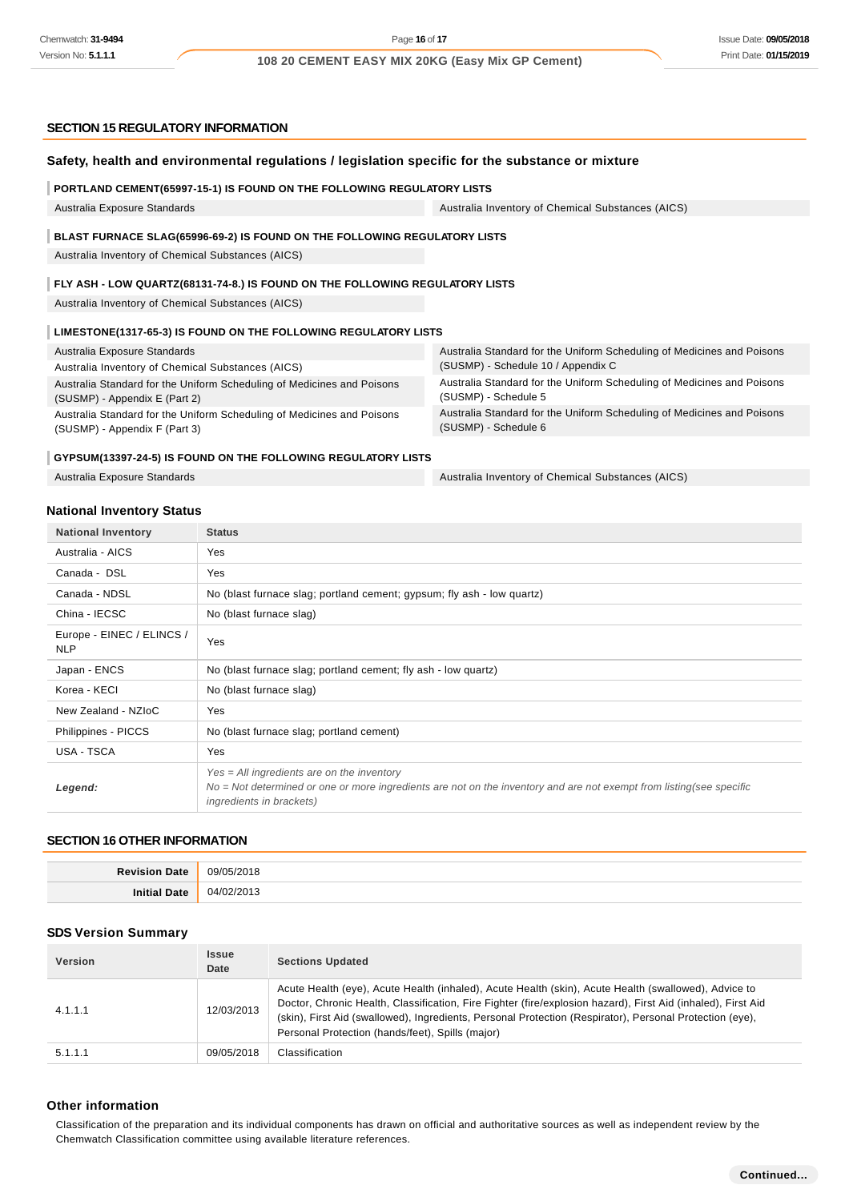#### **SECTION 15 REGULATORY INFORMATION**

#### **Safety, health and environmental regulations / legislation specific for the substance or mixture**

#### **PORTLAND CEMENT(65997-15-1) IS FOUND ON THE FOLLOWING REGULATORY LISTS**

Australia Exposure Standards **Australia Inventory of Chemical Substances (AICS)** Australia Inventory of Chemical Substances (AICS)

#### **BLAST FURNACE SLAG(65996-69-2) IS FOUND ON THE FOLLOWING REGULATORY LISTS**

Australia Inventory of Chemical Substances (AICS)

#### **FLY ASH - LOW QUARTZ(68131-74-8.) IS FOUND ON THE FOLLOWING REGULATORY LISTS**

Australia Inventory of Chemical Substances (AICS)

#### **LIMESTONE(1317-65-3) IS FOUND ON THE FOLLOWING REGULATORY LISTS**

| Australia Exposure Standards                                           | Australia Standard for the Uniform Scheduling of Medicines and Poisons |
|------------------------------------------------------------------------|------------------------------------------------------------------------|
| Australia Inventory of Chemical Substances (AICS)                      | (SUSMP) - Schedule 10 / Appendix C                                     |
| Australia Standard for the Uniform Scheduling of Medicines and Poisons | Australia Standard for the Uniform Scheduling of Medicines and Poisons |
| (SUSMP) - Appendix E (Part 2)                                          | (SUSMP) - Schedule 5                                                   |
| Australia Standard for the Uniform Scheduling of Medicines and Poisons | Australia Standard for the Uniform Scheduling of Medicines and Poisons |
| (SUSMP) - Appendix F (Part 3)                                          | (SUSMP) - Schedule 6                                                   |

#### **GYPSUM(13397-24-5) IS FOUND ON THE FOLLOWING REGULATORY LISTS**

Australia Exposure Standards **Australia Inventory of Chemical Substances (AICS)** Australia Inventory of Chemical Substances (AICS)

## **National Inventory Status**

| <b>National Inventory</b>               | <b>Status</b>                                                                                                                                                                                           |  |  |
|-----------------------------------------|---------------------------------------------------------------------------------------------------------------------------------------------------------------------------------------------------------|--|--|
| Australia - AICS                        | Yes                                                                                                                                                                                                     |  |  |
| Canada - DSL                            | <b>Yes</b>                                                                                                                                                                                              |  |  |
| Canada - NDSL                           | No (blast furnace slag; portland cement; gypsum; fly ash - low quartz)                                                                                                                                  |  |  |
| China - IECSC                           | No (blast furnace slag)                                                                                                                                                                                 |  |  |
| Europe - EINEC / ELINCS /<br><b>NLP</b> | Yes                                                                                                                                                                                                     |  |  |
| Japan - ENCS                            | No (blast furnace slag; portland cement; fly ash - low quartz)                                                                                                                                          |  |  |
| Korea - KECI                            | No (blast furnace slag)                                                                                                                                                                                 |  |  |
| New Zealand - NZIoC                     | Yes                                                                                                                                                                                                     |  |  |
| Philippines - PICCS                     | No (blast furnace slag; portland cement)                                                                                                                                                                |  |  |
| USA - TSCA                              | Yes                                                                                                                                                                                                     |  |  |
| Legend:                                 | $Yes = All ingredients are on the inventory$<br>No = Not determined or one or more ingredients are not on the inventory and are not exempt from listing(see specific<br><i>ingredients in brackets)</i> |  |  |

## **SECTION 16 OTHER INFORMATION**

| <b>Povici</b><br>nata<br>'' | $\Omega$<br>,, |
|-----------------------------|----------------|
| Initir                      | $\mathcal{U}$  |
| nafa                        | .              |

#### **SDS Version Summary**

| <b>Version</b> | <b>Issue</b><br>Date | <b>Sections Updated</b>                                                                                                                                                                                                                                                                                                                                                              |
|----------------|----------------------|--------------------------------------------------------------------------------------------------------------------------------------------------------------------------------------------------------------------------------------------------------------------------------------------------------------------------------------------------------------------------------------|
| 4.1.1.1        | 12/03/2013           | Acute Health (eye), Acute Health (inhaled), Acute Health (skin), Acute Health (swallowed), Advice to<br>Doctor, Chronic Health, Classification, Fire Fighter (fire/explosion hazard), First Aid (inhaled), First Aid<br>(skin), First Aid (swallowed), Ingredients, Personal Protection (Respirator), Personal Protection (eye),<br>Personal Protection (hands/feet), Spills (major) |
| 5.1.1.1        | 09/05/2018           | Classification                                                                                                                                                                                                                                                                                                                                                                       |

## **Other information**

Classification of the preparation and its individual components has drawn on official and authoritative sources as well as independent review by the Chemwatch Classification committee using available literature references.